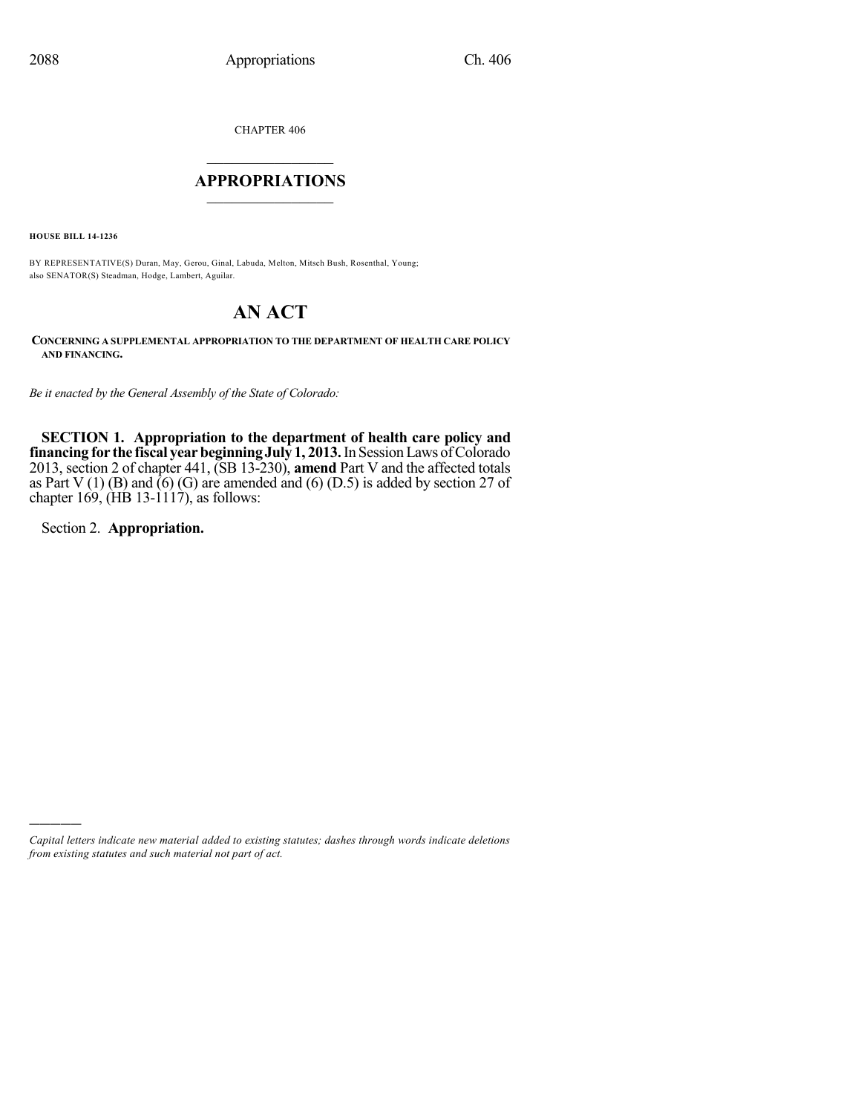CHAPTER 406

# $\overline{\phantom{a}}$  . The set of the set of the set of the set of the set of the set of the set of the set of the set of the set of the set of the set of the set of the set of the set of the set of the set of the set of the set o **APPROPRIATIONS**  $\_$   $\_$   $\_$   $\_$   $\_$   $\_$   $\_$   $\_$

**HOUSE BILL 14-1236**

BY REPRESENTATIVE(S) Duran, May, Gerou, Ginal, Labuda, Melton, Mitsch Bush, Rosenthal, Young; also SENATOR(S) Steadman, Hodge, Lambert, Aguilar.

# **AN ACT**

**CONCERNING A SUPPLEMENTAL APPROPRIATION TO THE DEPARTMENT OF HEALTH CARE POLICY AND FINANCING.**

*Be it enacted by the General Assembly of the State of Colorado:*

**SECTION 1. Appropriation to the department of health care policy and financing for the fiscal yearbeginningJuly 1, 2013.**In SessionLaws ofColorado 2013, section 2 of chapter 441, (SB 13-230), **amend** Part V and the affected totals as Part V (1) (B) and  $\bar{6}$ ) (G) are amended and (6) (D.5) is added by section 27 of chapter 169,  $(HB 13-1117)$ , as follows:

Section 2. **Appropriation.**

)))))

*Capital letters indicate new material added to existing statutes; dashes through words indicate deletions from existing statutes and such material not part of act.*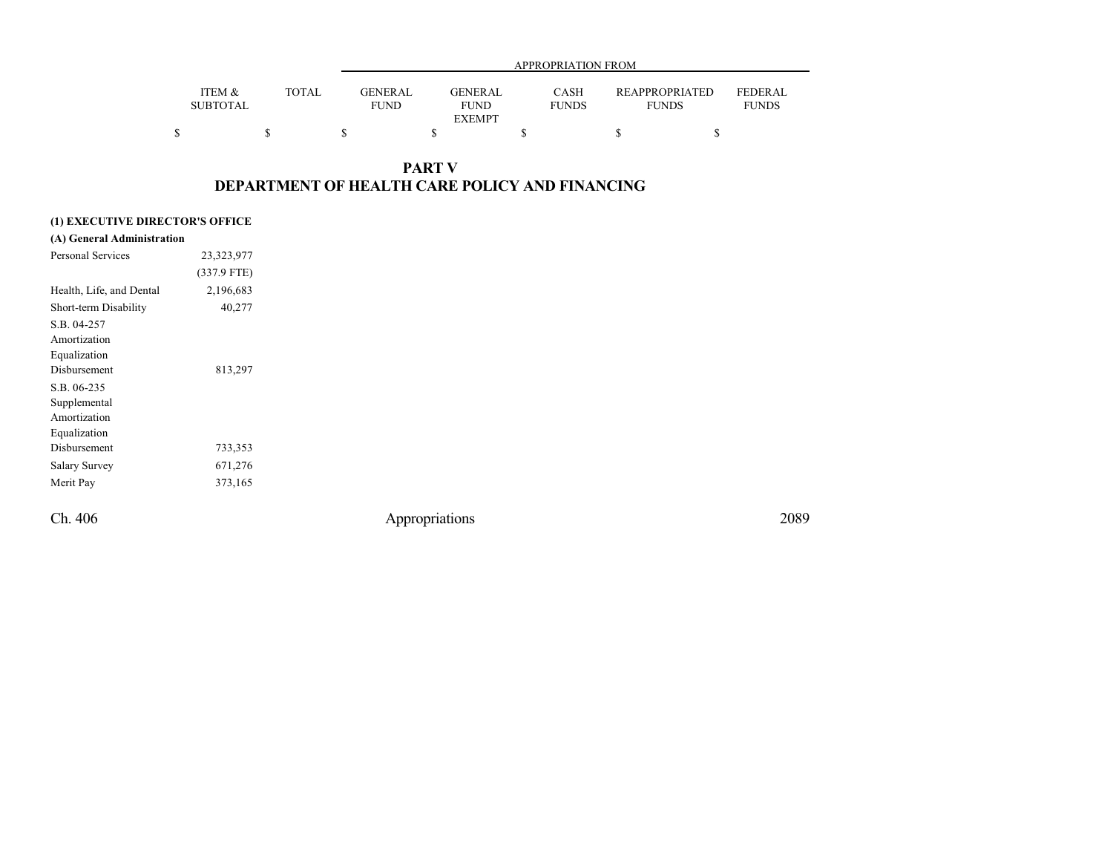|                           |              |                               | APPROPRIATION FROM                      |                             |                                       |                                |  |  |  |  |
|---------------------------|--------------|-------------------------------|-----------------------------------------|-----------------------------|---------------------------------------|--------------------------------|--|--|--|--|
| ITEM &<br><b>SUBTOTAL</b> | <b>TOTAL</b> | <b>GENERAL</b><br><b>FUND</b> | <b>GENERAL</b><br>FUND<br><b>EXEMPT</b> | <b>CASH</b><br><b>FUNDS</b> | <b>REAPPROPRIATED</b><br><b>FUNDS</b> | <b>FEDERAL</b><br><b>FUNDS</b> |  |  |  |  |
|                           |              |                               |                                         |                             |                                       |                                |  |  |  |  |

# **PART V DEPARTMENT OF HEALTH CARE POLICY AND FINANCING**

### **(1) EXECUTIVE DIRECTOR'S OFFICE**

| (A) General Administration |               |                |      |
|----------------------------|---------------|----------------|------|
| Personal Services          | 23,323,977    |                |      |
|                            | $(337.9$ FTE) |                |      |
| Health, Life, and Dental   | 2,196,683     |                |      |
| Short-term Disability      | 40,277        |                |      |
| S.B. 04-257                |               |                |      |
| Amortization               |               |                |      |
| Equalization               |               |                |      |
| Disbursement               | 813,297       |                |      |
| S.B. 06-235                |               |                |      |
| Supplemental               |               |                |      |
| Amortization               |               |                |      |
| Equalization               |               |                |      |
| Disbursement               | 733,353       |                |      |
| <b>Salary Survey</b>       | 671,276       |                |      |
| Merit Pay                  | 373,165       |                |      |
| Ch. 406                    |               | Appropriations | 2089 |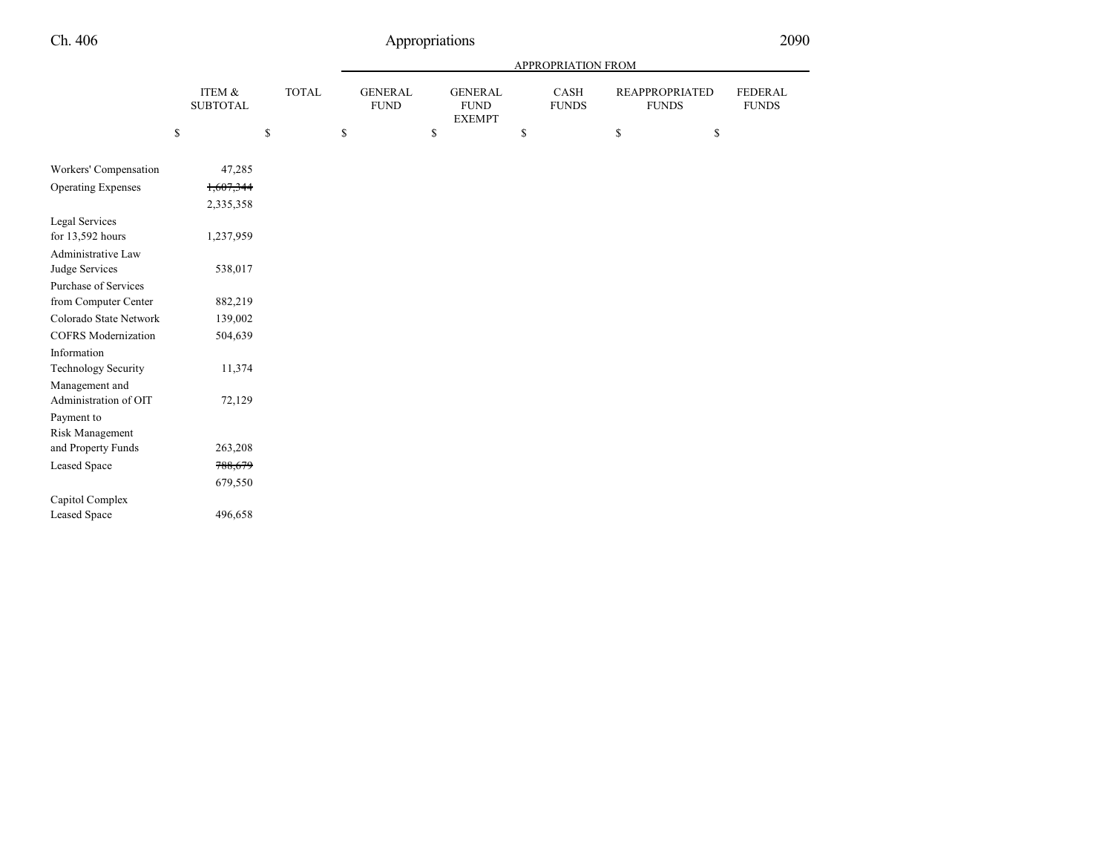|                                                       |                           |              |                               |                                                | APPROPRIATION FROM          |                                       |                                |
|-------------------------------------------------------|---------------------------|--------------|-------------------------------|------------------------------------------------|-----------------------------|---------------------------------------|--------------------------------|
|                                                       | ITEM &<br><b>SUBTOTAL</b> | <b>TOTAL</b> | <b>GENERAL</b><br><b>FUND</b> | <b>GENERAL</b><br><b>FUND</b><br><b>EXEMPT</b> | <b>CASH</b><br><b>FUNDS</b> | <b>REAPPROPRIATED</b><br><b>FUNDS</b> | <b>FEDERAL</b><br><b>FUNDS</b> |
|                                                       | \$                        | $\mathbb{S}$ | \$                            | \$                                             | \$                          | \$<br>\$                              |                                |
| Workers' Compensation                                 | 47,285                    |              |                               |                                                |                             |                                       |                                |
| <b>Operating Expenses</b>                             | 1,607,344<br>2,335,358    |              |                               |                                                |                             |                                       |                                |
| <b>Legal Services</b><br>for 13,592 hours             | 1,237,959                 |              |                               |                                                |                             |                                       |                                |
| Administrative Law<br>Judge Services                  | 538,017                   |              |                               |                                                |                             |                                       |                                |
| Purchase of Services<br>from Computer Center          | 882,219                   |              |                               |                                                |                             |                                       |                                |
| Colorado State Network<br><b>COFRS</b> Modernization  | 139,002<br>504,639        |              |                               |                                                |                             |                                       |                                |
| Information<br><b>Technology Security</b>             | 11,374                    |              |                               |                                                |                             |                                       |                                |
| Management and<br>Administration of OIT<br>Payment to | 72,129                    |              |                               |                                                |                             |                                       |                                |
| Risk Management<br>and Property Funds                 | 263,208                   |              |                               |                                                |                             |                                       |                                |
| <b>Leased Space</b>                                   | 788,679                   |              |                               |                                                |                             |                                       |                                |
| Capitol Complex                                       | 679,550                   |              |                               |                                                |                             |                                       |                                |
| <b>Leased Space</b>                                   | 496,658                   |              |                               |                                                |                             |                                       |                                |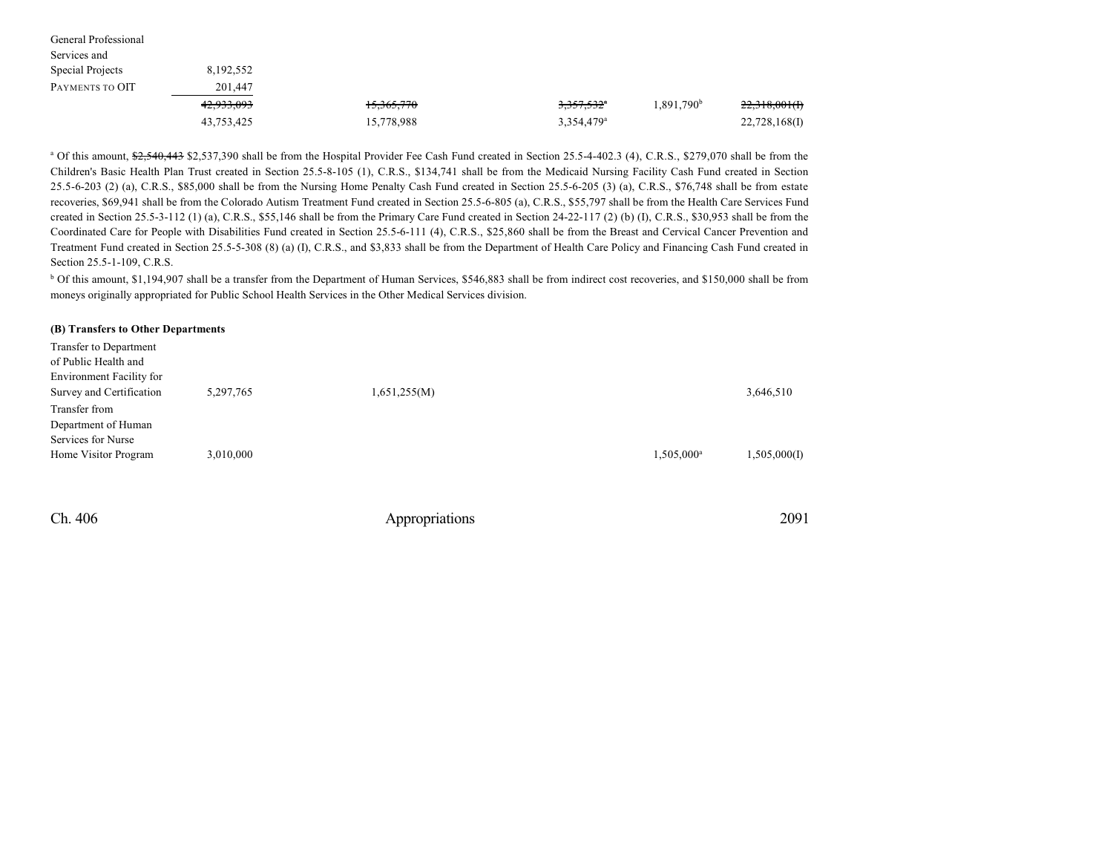| General Professional |            |            |                        |                        |               |
|----------------------|------------|------------|------------------------|------------------------|---------------|
| Services and         |            |            |                        |                        |               |
| Special Projects     | 8,192,552  |            |                        |                        |               |
| PAYMENTS TO OIT      | 201,447    |            |                        |                        |               |
|                      | 42,933,093 | 15,365,770 | $3,357,532^{\circ}$    | 1,891,790 <sup>b</sup> | 22,318,001(f) |
|                      | 43,753,425 | 15,778,988 | 3,354,479 <sup>a</sup> |                        | 22,728,168(I) |

<sup>a</sup> Of this amount,  $\frac{62,540,443}{2,537,390}$  shall be from the Hospital Provider Fee Cash Fund created in Section 25.5-4-402.3 (4), C.R.S., \$279,070 shall be from the Children's Basic Health Plan Trust created in Section 25.5-8-105 (1), C.R.S., \$134,741 shall be from the Medicaid Nursing Facility Cash Fund created in Section 25.5-6-203 (2) (a), C.R.S., \$85,000 shall be from the Nursing Home Penalty Cash Fund created in Section 25.5-6-205 (3) (a), C.R.S., \$76,748 shall be from estate recoveries, \$69,941 shall be from the Colorado Autism Treatment Fund created in Section 25.5-6-805 (a), C.R.S., \$55,797 shall be from the Health Care Services Fund created in Section 25.5-3-112 (1) (a), C.R.S., \$55,146 shall be from the Primary Care Fund created in Section 24-22-117 (2) (b) (I), C.R.S., \$30,953 shall be from the Coordinated Care for People with Disabilities Fund created in Section 25.5-6-111 (4), C.R.S., \$25,860 shall be from the Breast and Cervical Cancer Prevention and Treatment Fund created in Section 25.5-5-308 (8) (a) (I), C.R.S., and \$3,833 shall be from the Department of Health Care Policy and Financing Cash Fund created in Section 25.5-1-109, C.R.S.

<sup>b</sup> Of this amount, \$1,194,907 shall be a transfer from the Department of Human Services, \$546,883 shall be from indirect cost recoveries, and \$150,000 shall be from moneys originally appropriated for Public School Health Services in the Other Medical Services division.

#### **(B) Transfers to Other Departments**

| Transfer to Department<br>of Public Health and<br>Environment Facility for |           |              |                        |              |
|----------------------------------------------------------------------------|-----------|--------------|------------------------|--------------|
| Survey and Certification                                                   | 5,297,765 | 1,651,255(M) |                        | 3,646,510    |
| Transfer from<br>Department of Human                                       |           |              |                        |              |
| Services for Nurse<br>Home Visitor Program                                 | 3,010,000 |              | 1,505,000 <sup>a</sup> | 1,505,000(I) |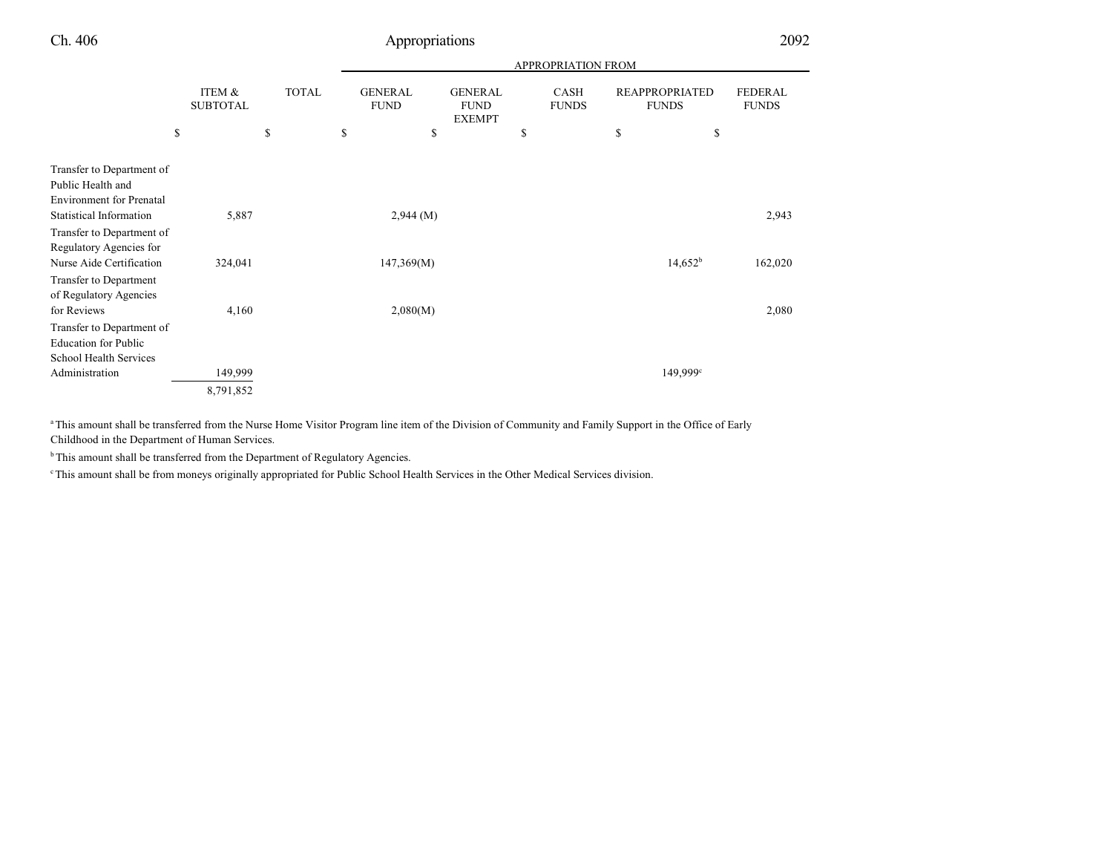|                                                                                                          |                           |                                                                                                                                |    |                                       |                                | APPROPRIATION FROM |    |            |         |
|----------------------------------------------------------------------------------------------------------|---------------------------|--------------------------------------------------------------------------------------------------------------------------------|----|---------------------------------------|--------------------------------|--------------------|----|------------|---------|
|                                                                                                          | ITEM &<br><b>SUBTOTAL</b> | <b>TOTAL</b><br><b>GENERAL</b><br><b>GENERAL</b><br><b>CASH</b><br><b>FUND</b><br><b>FUND</b><br><b>FUNDS</b><br><b>EXEMPT</b> |    | <b>REAPPROPRIATED</b><br><b>FUNDS</b> | <b>FEDERAL</b><br><b>FUNDS</b> |                    |    |            |         |
|                                                                                                          | \$                        | \$                                                                                                                             | \$ | \$                                    | \$                             |                    | \$ | \$         |         |
| Transfer to Department of<br>Public Health and<br><b>Environment</b> for Prenatal                        |                           |                                                                                                                                |    |                                       |                                |                    |    |            |         |
| <b>Statistical Information</b><br>Transfer to Department of<br>Regulatory Agencies for                   | 5,887                     |                                                                                                                                |    | $2,944 \; (M)$                        |                                |                    |    |            | 2,943   |
| Nurse Aide Certification<br><b>Transfer to Department</b><br>of Regulatory Agencies                      | 324,041                   |                                                                                                                                |    | 147,369(M)                            |                                |                    |    | $14,652^b$ | 162,020 |
| for Reviews<br>Transfer to Department of<br><b>Education for Public</b><br><b>School Health Services</b> | 4,160                     |                                                                                                                                |    | 2,080(M)                              |                                |                    |    |            | 2,080   |
| Administration                                                                                           | 149,999                   |                                                                                                                                |    |                                       |                                |                    |    | 149,999°   |         |
|                                                                                                          | 8,791,852                 |                                                                                                                                |    |                                       |                                |                    |    |            |         |

<sup>a</sup>This amount shall be transferred from the Nurse Home Visitor Program line item of the Division of Community and Family Support in the Office of Early Childhood in the Department of Human Services.

<sup>b</sup>This amount shall be transferred from the Department of Regulatory Agencies.

<sup>e</sup>This amount shall be from moneys originally appropriated for Public School Health Services in the Other Medical Services division.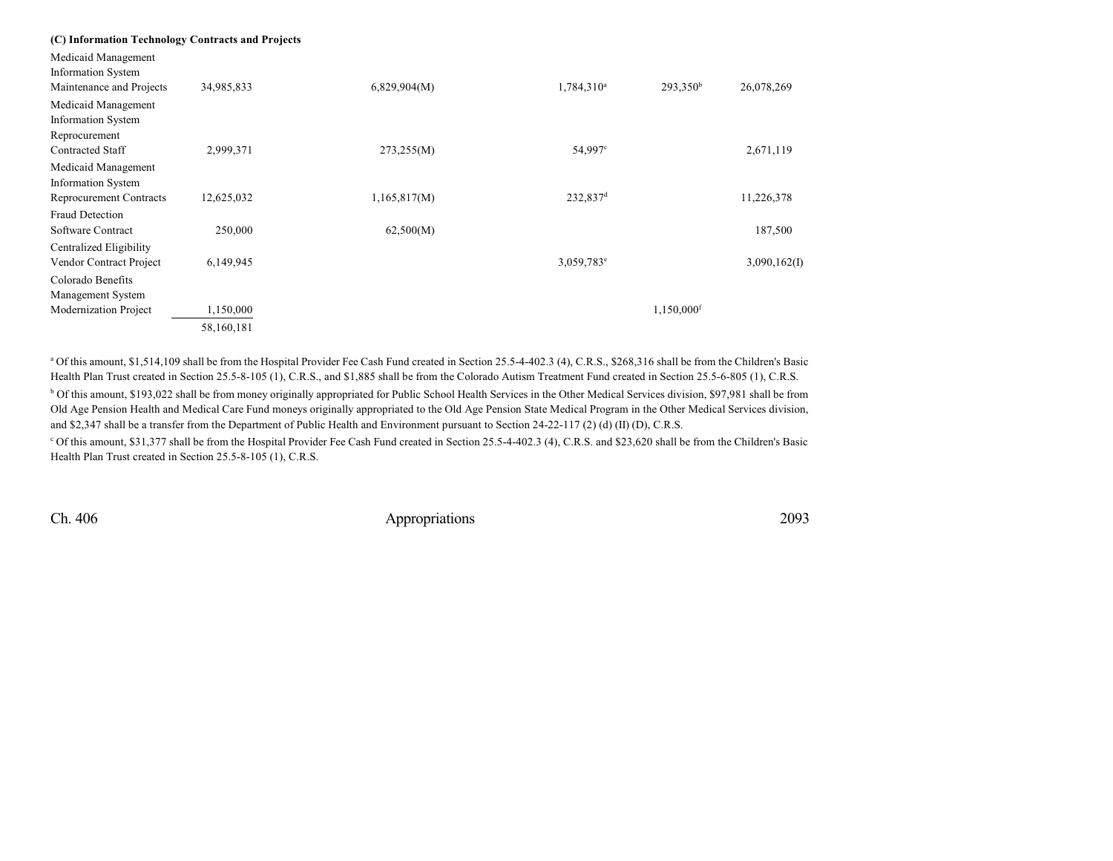|  |  |  |  | (C) Information Technology Contracts and Projects |
|--|--|--|--|---------------------------------------------------|
|--|--|--|--|---------------------------------------------------|

Medicaid Management

| <b>Information System</b> |            |              |                        |                        |              |
|---------------------------|------------|--------------|------------------------|------------------------|--------------|
| Maintenance and Projects  | 34,985,833 | 6,829,904(M) | 1,784,310 <sup>a</sup> | $293,350^b$            | 26,078,269   |
| Medicaid Management       |            |              |                        |                        |              |
| <b>Information System</b> |            |              |                        |                        |              |
| Reprocurement             |            |              |                        |                        |              |
| <b>Contracted Staff</b>   | 2,999,371  | 273,255(M)   | 54,997 <sup>c</sup>    |                        | 2,671,119    |
| Medicaid Management       |            |              |                        |                        |              |
| <b>Information System</b> |            |              |                        |                        |              |
| Reprocurement Contracts   | 12,625,032 | 1,165,817(M) | $232,837$ <sup>d</sup> |                        | 11,226,378   |
| <b>Fraud Detection</b>    |            |              |                        |                        |              |
| Software Contract         | 250,000    | 62,500(M)    |                        |                        | 187,500      |
| Centralized Eligibility   |            |              |                        |                        |              |
| Vendor Contract Project   | 6,149,945  |              | 3,059,783 <sup>e</sup> |                        | 3,090,162(I) |
| Colorado Benefits         |            |              |                        |                        |              |
| Management System         |            |              |                        |                        |              |
| Modernization Project     | 1,150,000  |              |                        | 1,150,000 <sup>f</sup> |              |
|                           | 58,160,181 |              |                        |                        |              |
|                           |            |              |                        |                        |              |

a Of this amount, \$1,514,109 shall be from the Hospital Provider Fee Cash Fund created in Section 25.5-4-402.3 (4), C.R.S., \$268,316 shall be from the Children's Basic Health Plan Trust created in Section 25.5-8-105 (1), C.R.S., and \$1,885 shall be from the Colorado Autism Treatment Fund created in Section 25.5-6-805 (1), C.R.S. <sup>b</sup> Of this amount, \$193,022 shall be from money originally appropriated for Public School Health Services in the Other Medical Services division, \$97,981 shall be from Old Age Pension Health and Medical Care Fund moneys originally appropriated to the Old Age Pension State Medical Program in the Other Medical Services division, and \$2,347 shall be a transfer from the Department of Public Health and Environment pursuant to Section 24-22-117 (2) (d) (II) (D), C.R.S.

<sup>c</sup> Of this amount, \$31,377 shall be from the Hospital Provider Fee Cash Fund created in Section 25.5-4-402.3 (4), C.R.S. and \$23,620 shall be from the Children's Basic Health Plan Trust created in Section 25.5-8-105 (1), C.R.S.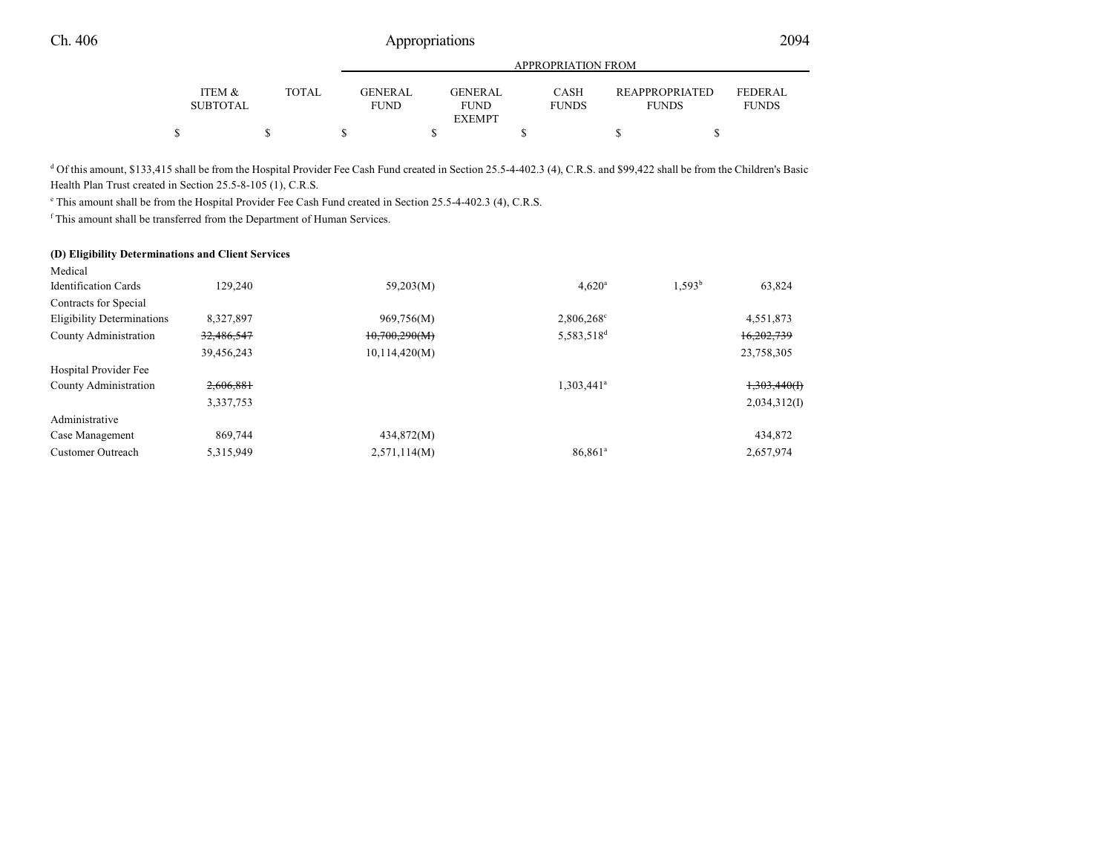|                           |              | APPROPRIATION FROM     |  |                                         |  |                             |  |                                |                                |  |
|---------------------------|--------------|------------------------|--|-----------------------------------------|--|-----------------------------|--|--------------------------------|--------------------------------|--|
| ITEM &<br><b>SUBTOTAL</b> | <b>TOTAL</b> | GENERAL<br><b>FUND</b> |  | GENERAL<br><b>FUND</b><br><b>EXEMPT</b> |  | <b>CASH</b><br><b>FUNDS</b> |  | REAPPROPRIATED<br><b>FUNDS</b> | <b>FEDERAL</b><br><b>FUNDS</b> |  |
|                           |              |                        |  |                                         |  |                             |  |                                |                                |  |

<sup>d</sup> Of this amount, \$133,415 shall be from the Hospital Provider Fee Cash Fund created in Section 25.5-4-402.3 (4), C.R.S. and \$99,422 shall be from the Children's Basic Health Plan Trust created in Section 25.5-8-105 (1), C.R.S.

e This amount shall be from the Hospital Provider Fee Cash Fund created in Section 25.5-4-402.3 (4), C.R.S.

f This amount shall be transferred from the Department of Human Services.

#### **(D) Eligibility Determinations and Client Services**

| Medical                     |            |               |                        |                              |
|-----------------------------|------------|---------------|------------------------|------------------------------|
| <b>Identification Cards</b> | 129,240    | 59,203(M)     | 4.620 <sup>a</sup>     | 1.593 <sup>b</sup><br>63,824 |
| Contracts for Special       |            |               |                        |                              |
| Eligibility Determinations  | 8,327,897  | 969,756(M)    | $2,806,268^{\circ}$    | 4,551,873                    |
| County Administration       | 32,486,547 | 10,700,290(M) | 5,583,518 <sup>d</sup> | 16,202,739                   |
|                             | 39,456,243 | 10,114,420(M) |                        | 23,758,305                   |
| Hospital Provider Fee       |            |               |                        |                              |
| County Administration       | 2,606,881  |               | 1,303,441 <sup>a</sup> | 1,303,440(f)                 |
|                             | 3,337,753  |               |                        | 2,034,312(I)                 |
| Administrative              |            |               |                        |                              |
| Case Management             | 869,744    | 434,872(M)    |                        | 434,872                      |
| <b>Customer Outreach</b>    | 5,315,949  | 2,571,114(M)  | 86,861 <sup>a</sup>    | 2,657,974                    |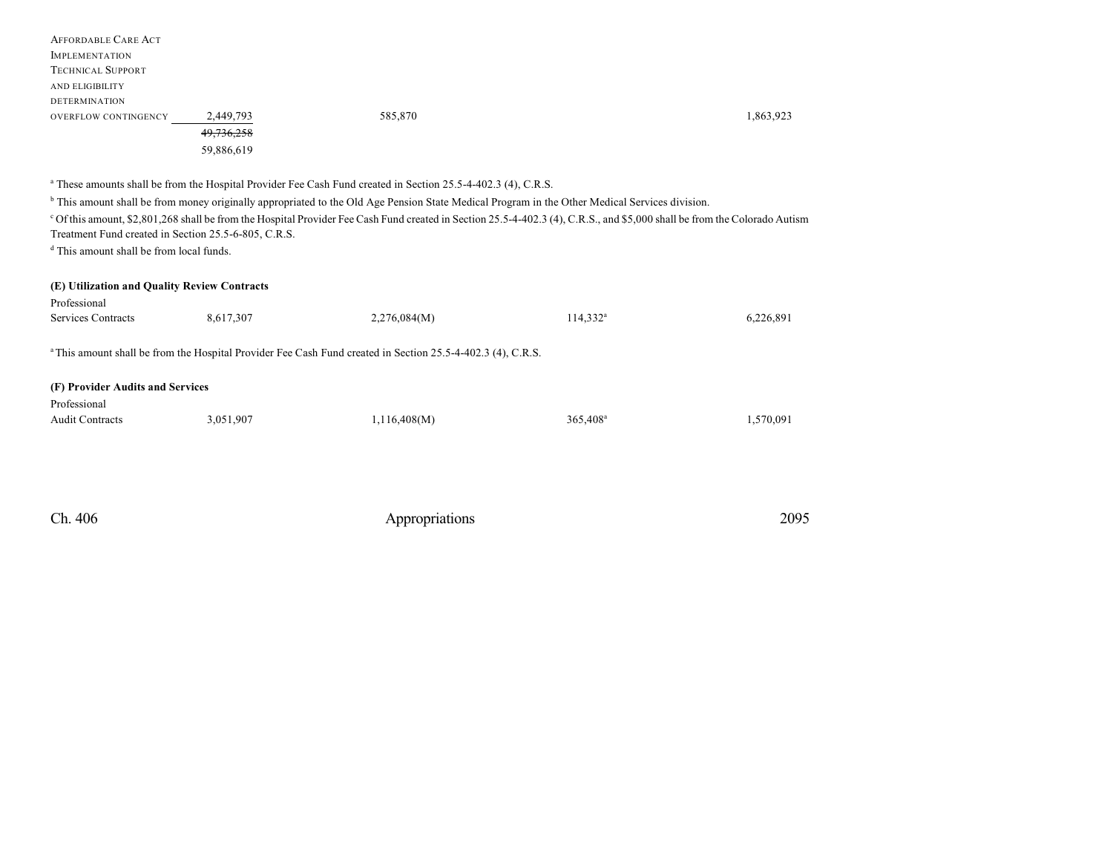|                             | 59,886,619 |         |           |
|-----------------------------|------------|---------|-----------|
|                             | 49,736,258 |         |           |
| <b>OVERFLOW CONTINGENCY</b> | 2,449,793  | 585,870 | 1,863,923 |
| <b>DETERMINATION</b>        |            |         |           |
| AND ELIGIBILITY             |            |         |           |
| <b>TECHNICAL SUPPORT</b>    |            |         |           |
| <b>IMPLEMENTATION</b>       |            |         |           |
| <b>AFFORDABLE CARE ACT</b>  |            |         |           |

a These amounts shall be from the Hospital Provider Fee Cash Fund created in Section 25.5-4-402.3 (4), C.R.S.

b This amount shall be from money originally appropriated to the Old Age Pension State Medical Program in the Other Medical Services division.

<sup>c</sup> Of this amount, \$2,801,268 shall be from the Hospital Provider Fee Cash Fund created in Section 25.5-4-402.3 (4), C.R.S., and \$5,000 shall be from the Colorado Autism

Treatment Fund created in Section 25.5-6-805, C.R.S.

d This amount shall be from local funds.

|  | (E) Utilization and Quality Review Contracts |  |  |  |
|--|----------------------------------------------|--|--|--|
|--|----------------------------------------------|--|--|--|

| Professional<br>Services Contracts                                                                                     | 8,617,307 | 2,276,084(M) | $114,332^{\rm a}$ | 6,226,891 |  |  |  |  |  |
|------------------------------------------------------------------------------------------------------------------------|-----------|--------------|-------------------|-----------|--|--|--|--|--|
| <sup>a</sup> This amount shall be from the Hospital Provider Fee Cash Fund created in Section 25.5-4-402.3 (4), C.R.S. |           |              |                   |           |  |  |  |  |  |
| (F) Provider Audits and Services                                                                                       |           |              |                   |           |  |  |  |  |  |
| Professional                                                                                                           |           |              |                   |           |  |  |  |  |  |
| <b>Audit Contracts</b>                                                                                                 | 3,051,907 | 1,116,408(M) | $365,408^{\rm a}$ | 1,570,091 |  |  |  |  |  |
|                                                                                                                        |           |              |                   |           |  |  |  |  |  |

| Ch. 406 | Appropriations | 2095 |
|---------|----------------|------|
|         |                |      |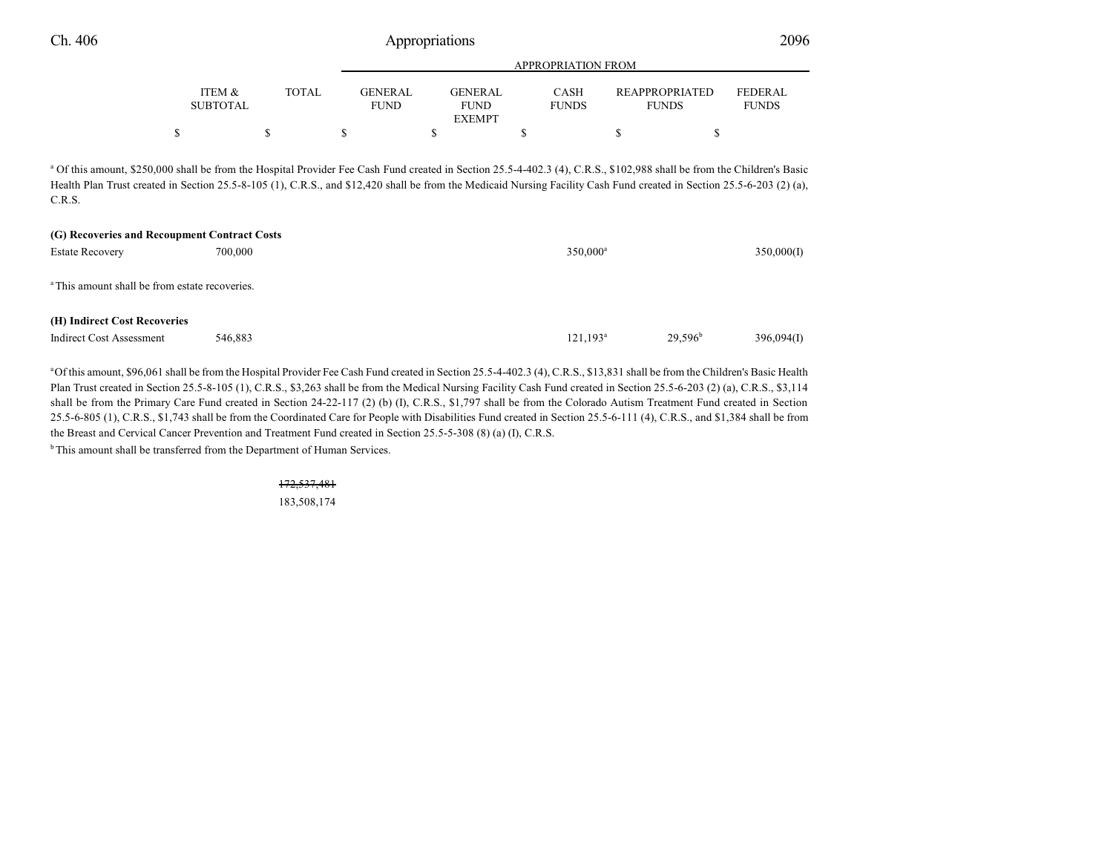| Ch. 406 |        | Appropriations |                |                |                    |                |                |  |
|---------|--------|----------------|----------------|----------------|--------------------|----------------|----------------|--|
|         |        |                |                |                | APPROPRIATION FROM |                |                |  |
|         | ITEM & | TOTAL          | <b>GENERAL</b> | <b>GENERAL</b> | CASH               | REAPPROPRIATED | <b>FEDERAL</b> |  |

| ITEM &<br>SUBTOTAL | TOTAL | GENER AL<br>FUND | <b>GENERAL</b><br><b>FUND</b> | CASH<br><b>FUNDS</b> | <b>REAPPROPRIATED</b><br><b>FUNDS</b> | FEDER AL.<br><b>FUNDS</b> |
|--------------------|-------|------------------|-------------------------------|----------------------|---------------------------------------|---------------------------|
|                    |       |                  | <b>EXEMPT</b>                 |                      |                                       |                           |
| ሖ                  |       |                  |                               |                      |                                       |                           |

<sup>a</sup> Of this amount, \$250,000 shall be from the Hospital Provider Fee Cash Fund created in Section 25.5-4-402.3 (4), C.R.S., \$102,988 shall be from the Children's Basic Health Plan Trust created in Section 25.5-8-105 (1), C.R.S., and \$12,420 shall be from the Medicaid Nursing Facility Cash Fund created in Section 25.5-6-203 (2) (a), C.R.S.

| (G) Recoveries and Recoupment Contract Costs              |         |                      |            |            |  |  |  |  |
|-----------------------------------------------------------|---------|----------------------|------------|------------|--|--|--|--|
| <b>Estate Recovery</b>                                    | 700,000 | $350,000^a$          |            | 350,000(I) |  |  |  |  |
|                                                           |         |                      |            |            |  |  |  |  |
| <sup>a</sup> This amount shall be from estate recoveries. |         |                      |            |            |  |  |  |  |
|                                                           |         |                      |            |            |  |  |  |  |
|                                                           |         |                      |            |            |  |  |  |  |
| (H) Indirect Cost Recoveries                              |         |                      |            |            |  |  |  |  |
| Indirect Cost Assessment                                  | 546,883 | 121.193 <sup>a</sup> | $29.596^b$ | 396,094(I) |  |  |  |  |
|                                                           |         |                      |            |            |  |  |  |  |

<sup>a</sup>Of this amount, \$96,061 shall be from the Hospital Provider Fee Cash Fund created in Section 25.5-4-402.3 (4), C.R.S., \$13,831 shall be from the Children's Basic Health Plan Trust created in Section 25.5-8-105 (1), C.R.S., \$3,263 shall be from the Medical Nursing Facility Cash Fund created in Section 25.5-6-203 (2) (a), C.R.S., \$3,114 shall be from the Primary Care Fund created in Section 24-22-117 (2) (b) (I), C.R.S., \$1,797 shall be from the Colorado Autism Treatment Fund created in Section 25.5-6-805 (1), C.R.S., \$1,743 shall be from the Coordinated Care for People with Disabilities Fund created in Section 25.5-6-111 (4), C.R.S., and \$1,384 shall be from the Breast and Cervical Cancer Prevention and Treatment Fund created in Section 25.5-5-308 (8) (a) (I), C.R.S.

 $<sup>b</sup>$ This amount shall be transferred from the Department of Human Services.</sup>

172,537,481 183,508,174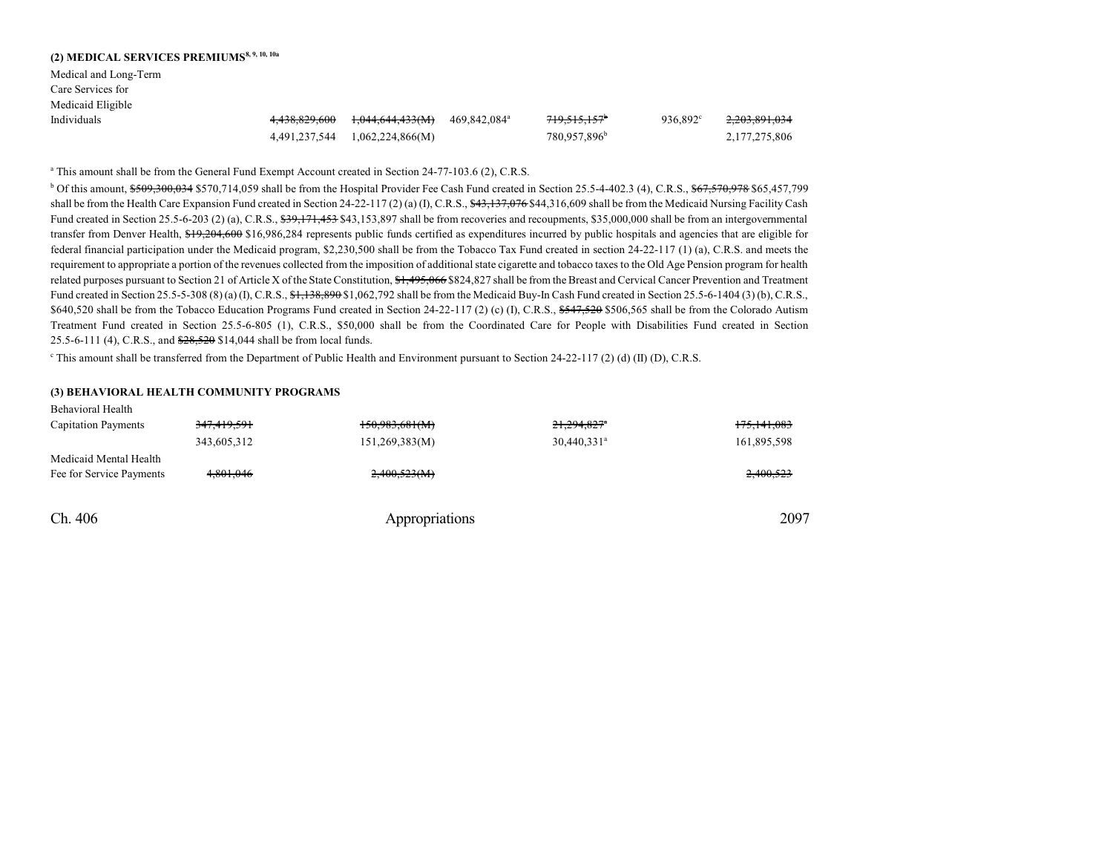| (2) MEDICAL SERVICES PREMIUMS <sup>8, 9, 10, 10a</sup> |               |                  |                          |                          |                   |                          |
|--------------------------------------------------------|---------------|------------------|--------------------------|--------------------------|-------------------|--------------------------|
| Medical and Long-Term                                  |               |                  |                          |                          |                   |                          |
| Care Services for                                      |               |                  |                          |                          |                   |                          |
| Medicaid Eligible                                      |               |                  |                          |                          |                   |                          |
| Individuals                                            | 4.438.829.600 | 1,044,644,433(M) | 469.842.084 <sup>a</sup> | 719,515,157 <sup>b</sup> | $936.892^{\circ}$ | <del>2,203,891,034</del> |
|                                                        | 4,491,237,544 | 1,062,224,866(M) |                          | 780.957.896 <sup>b</sup> |                   | 2,177,275,806            |

a This amount shall be from the General Fund Exempt Account created in Section 24-77-103.6 (2), C.R.S.

<sup>b</sup> Of this amount, \$509,300,034 \$570,714,059 shall be from the Hospital Provider Fee Cash Fund created in Section 25.5-4-402.3 (4), C.R.S., \$67,570,978 \$65,457,799 shall be from the Health Care Expansion Fund created in Section 24-22-117 (2) (a) (I), C.R.S.,  $\frac{43,137,076,844,316,609}{}$  shall be from the Medicaid Nursing Facility Cash Fund created in Section 25.5-6-203 (2) (a), C.R.S.,  $\frac{29}{32}$ ,  $\frac{171}{453}$ ,  $\frac{543}{153}$ ,  $\frac{897}{311}$  shall be from recoveries and recoupments, \$35,000,000 shall be from an intergovernmental transfer from Denver Health, \$19,204,600 \$16,986,284 represents public funds certified as expenditures incurred by public hospitals and agencies that are eligible for federal financial participation under the Medicaid program, \$2,230,500 shall be from the Tobacco Tax Fund created in section 24-22-117 (1) (a), C.R.S. and meets the requirement to appropriate a portion of the revenues collected from the imposition of additionalstate cigarette and tobacco taxes to the Old Age Pension program for health related purposes pursuant to Section 21 of Article X of the State Constitution, \$1,495,066 \$824,827 shall be from the Breast and Cervical Cancer Prevention and Treatment Fund created in Section 25.5-5-308 (8) (a) (I), C.R.S., \$1,138,890 \$1,062,792 shall be from the Medicaid Buy-In Cash Fund created in Section 25.5-6-1404 (3) (b), C.R.S., \$640,520 shall be from the Tobacco Education Programs Fund created in Section 24-22-117 (2) (c) (I), C.R.S., \$547,520 \$506,565 shall be from the Colorado Autism Treatment Fund created in Section 25.5-6-805 (1), C.R.S., \$50,000 shall be from the Coordinated Care for People with Disabilities Fund created in Section 25.5-6-111 (4), C.R.S., and  $\frac{$28,520}{$14,044}$  shall be from local funds.

This amount shall be transferred from the Department of Public Health and Environment pursuant to Section 24-22-117 (2) (d) (II) (D), C.R.S.

#### **(3) BEHAVIORAL HEALTH COMMUNITY PROGRAMS**

Behavioral Health

| Ch. 406                                            |             | Appropriations |                           | 2097          |
|----------------------------------------------------|-------------|----------------|---------------------------|---------------|
| Medicaid Mental Health<br>Fee for Service Payments | 4.801.046   | 2,400,523(M)   |                           | 2,400,523     |
|                                                    | 343,605,312 | 151,269,383(M) | $30,440,331$ <sup>a</sup> | 161,895,598   |
| <b>Capitation Payments</b>                         | 347,419,591 | 150,983,681(M) | 21,294,827*               | 175, 141, 083 |
| Denavioral Heann                                   |             |                |                           |               |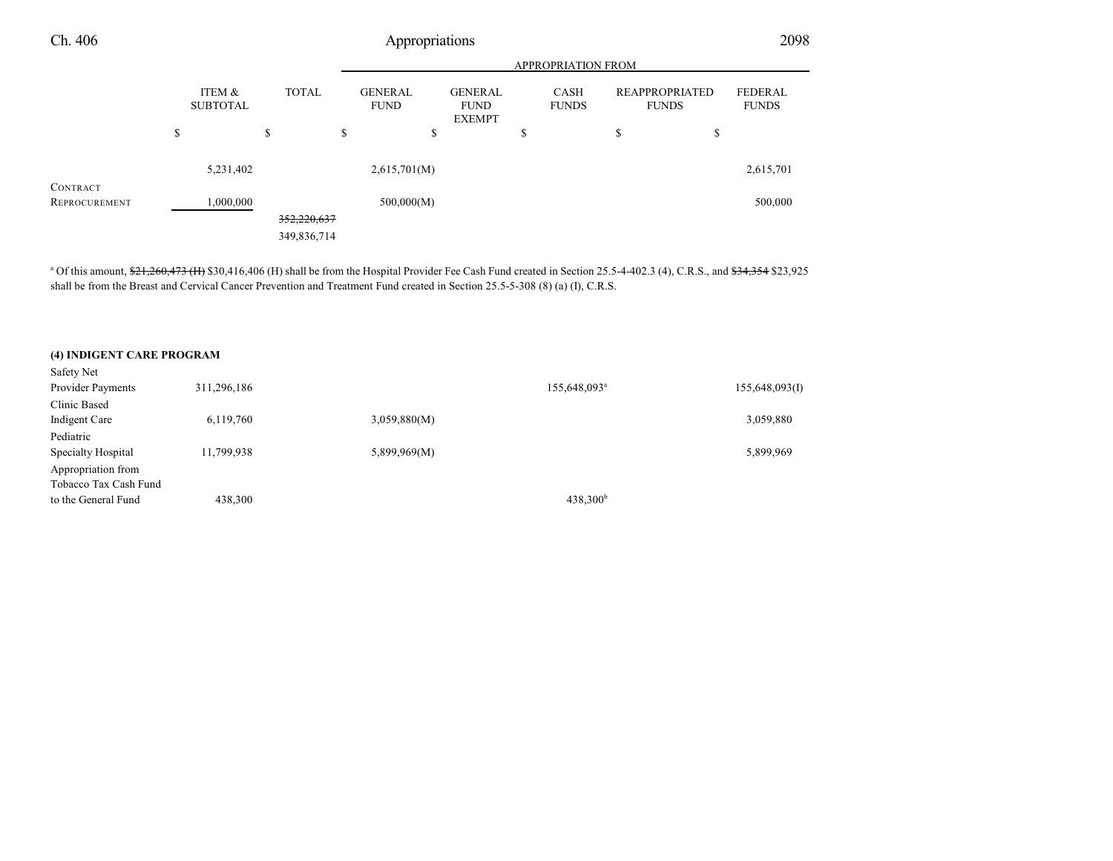|               | APPROPRIATION FROM        |              |    |                               |                                                |    |                             |         |                                       |                                |
|---------------|---------------------------|--------------|----|-------------------------------|------------------------------------------------|----|-----------------------------|---------|---------------------------------------|--------------------------------|
|               | ITEM &<br><b>SUBTOTAL</b> | <b>TOTAL</b> |    | <b>GENERAL</b><br><b>FUND</b> | <b>GENERAL</b><br><b>FUND</b><br><b>EXEMPT</b> |    | <b>CASH</b><br><b>FUNDS</b> |         | <b>REAPPROPRIATED</b><br><b>FUNDS</b> | <b>FEDERAL</b><br><b>FUNDS</b> |
|               | \$                        | \$           | \$ |                               | \$                                             | \$ |                             | ch<br>ъ | \$                                    |                                |
| CONTRACT      | 5,231,402                 |              |    | 2,615,701(M)                  |                                                |    |                             |         |                                       | 2,615,701                      |
| REPROCUREMENT | 1,000,000                 |              |    | 500,000(M)                    |                                                |    |                             |         |                                       | 500,000                        |
|               |                           | 352,220,637  |    |                               |                                                |    |                             |         |                                       |                                |
|               |                           | 349,836,714  |    |                               |                                                |    |                             |         |                                       |                                |

<sup>a</sup> Of this amount, \$21,260,473 (H) \$30,416,406 (H) shall be from the Hospital Provider Fee Cash Fund created in Section 25.5-4-402.3 (4), C.R.S., and \$34,354 \$23,925 shall be from the Breast and Cervical Cancer Prevention and Treatment Fund created in Section 25.5-5-308 (8) (a) (I), C.R.S.

#### **(4) INDIGENT CARE PROGRAM**

| Safety Net            |             |              |                          |                |
|-----------------------|-------------|--------------|--------------------------|----------------|
| Provider Payments     | 311,296,186 |              | 155,648,093 <sup>a</sup> | 155,648,093(I) |
| Clinic Based          |             |              |                          |                |
| Indigent Care         | 6,119,760   | 3,059,880(M) |                          | 3,059,880      |
| Pediatric             |             |              |                          |                |
| Specialty Hospital    | 11,799,938  | 5,899,969(M) |                          | 5,899,969      |
| Appropriation from    |             |              |                          |                |
| Tobacco Tax Cash Fund |             |              |                          |                |
| to the General Fund   | 438,300     |              | 438,300 <sup>b</sup>     |                |
|                       |             |              |                          |                |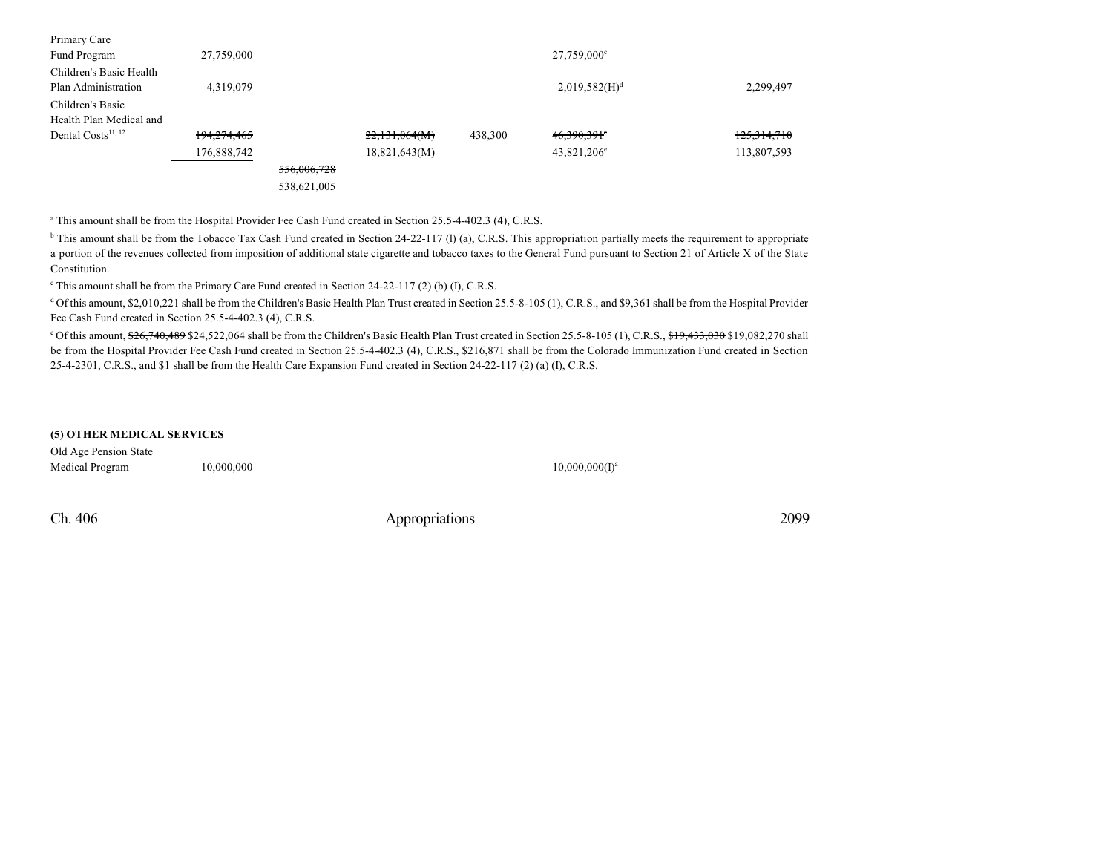| 27,759,000  |             |               |         | $27,759,000^{\circ}$      |             |
|-------------|-------------|---------------|---------|---------------------------|-------------|
|             |             |               |         |                           |             |
| 4,319,079   |             |               |         | 2,019,582(H) <sup>d</sup> | 2,299,497   |
|             |             |               |         |                           |             |
|             |             |               |         |                           |             |
| 194,274,465 |             | 22,131,064(M) | 438,300 | $46,390,391$ <sup>e</sup> | 125,314,710 |
| 176,888,742 |             | 18,821,643(M) |         | $43,821,206^e$            | 113,807,593 |
|             | 556,006,728 |               |         |                           |             |
|             | 538,621,005 |               |         |                           |             |
|             |             |               |         |                           |             |

<sup>a</sup> This amount shall be from the Hospital Provider Fee Cash Fund created in Section 25.5-4-402.3 (4), C.R.S.

<sup>b</sup> This amount shall be from the Tobacco Tax Cash Fund created in Section 24-22-117 (l) (a), C.R.S. This appropriation partially meets the requirement to appropriate a portion of the revenues collected from imposition of additional state cigarette and tobacco taxes to the General Fund pursuant to Section 21 of Article X of the State Constitution.

<sup>c</sup> This amount shall be from the Primary Care Fund created in Section 24-22-117 (2) (b) (I), C.R.S.

<sup>d</sup> Of this amount, \$2,010,221 shall be from the Children's Basic Health Plan Trust created in Section 25.5-8-105 (1), C.R.S., and \$9,361 shall be from the Hospital Provider Fee Cash Fund created in Section 25.5-4-402.3 (4), C.R.S.

 $^{\circ}$  Of this amount,  $\frac{626}{740}$ , 489 \$24,522,064 shall be from the Children's Basic Health Plan Trust created in Section 25.5-8-105 (1), C.R.S.,  $\frac{619}{723}$ , 0082,270 shall be from the Hospital Provider Fee Cash Fund created in Section 25.5-4-402.3 (4), C.R.S., \$216,871 shall be from the Colorado Immunization Fund created in Section 25-4-2301, C.R.S., and \$1 shall be from the Health Care Expansion Fund created in Section 24-22-117 (2) (a) (I), C.R.S.

### **(5) OTHER MEDICAL SERVICES**

Old Age Pension State Medical Program 10,000,000

 $10,000,000(I)^a$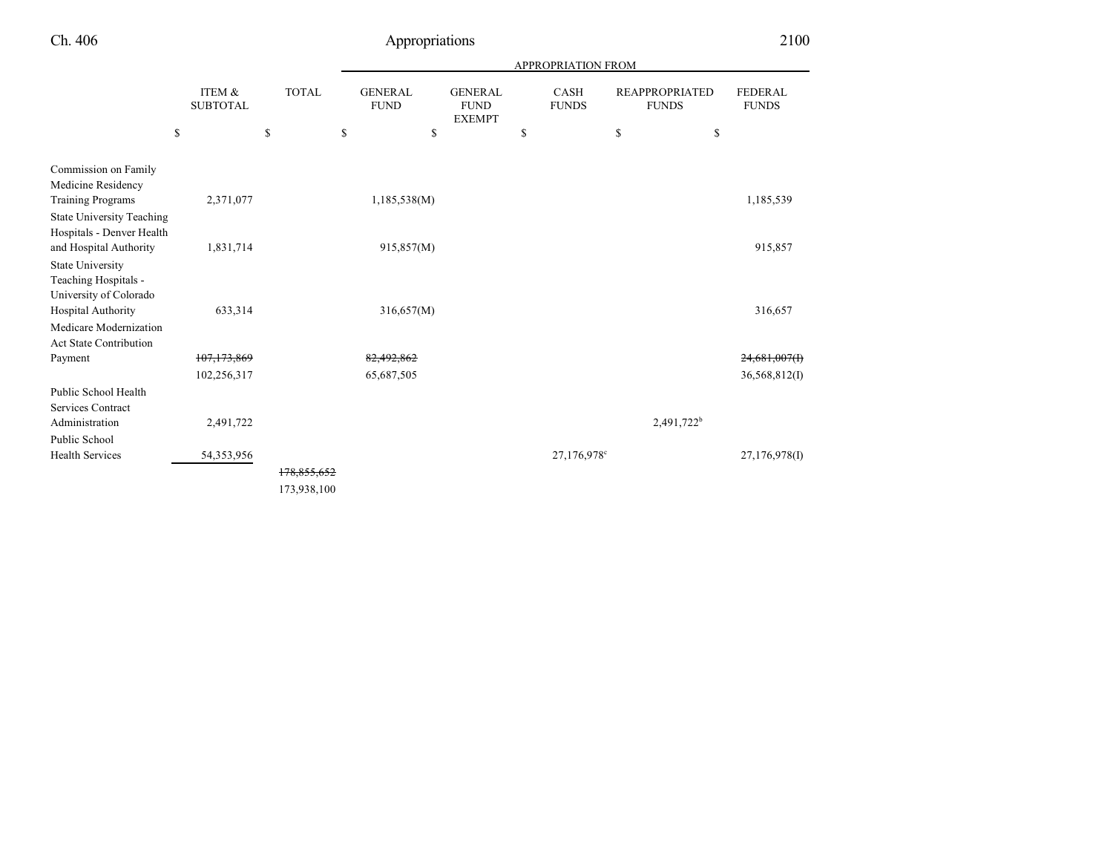|                                                                           |    |                           |    |             |    | <b>APPROPRIATION FROM</b> |  |                               |                                                |               |                             |                  |                                       |                                |
|---------------------------------------------------------------------------|----|---------------------------|----|-------------|----|---------------------------|--|-------------------------------|------------------------------------------------|---------------|-----------------------------|------------------|---------------------------------------|--------------------------------|
|                                                                           |    | ITEM &<br><b>SUBTOTAL</b> |    |             |    | <b>TOTAL</b>              |  | <b>GENERAL</b><br><b>FUND</b> | <b>GENERAL</b><br><b>FUND</b><br><b>EXEMPT</b> | <sup>\$</sup> | <b>CASH</b><br><b>FUNDS</b> |                  | <b>REAPPROPRIATED</b><br><b>FUNDS</b> | <b>FEDERAL</b><br><b>FUNDS</b> |
|                                                                           | \$ |                           | \$ |             | \$ | \$                        |  |                               |                                                | \$            | \$                          |                  |                                       |                                |
| Commission on Family<br>Medicine Residency                                |    |                           |    |             |    |                           |  |                               |                                                |               |                             |                  |                                       |                                |
| <b>Training Programs</b>                                                  |    | 2,371,077                 |    |             |    | 1,185,538(M)              |  |                               |                                                |               |                             | 1,185,539        |                                       |                                |
| <b>State University Teaching</b><br>Hospitals - Denver Health             |    |                           |    |             |    |                           |  |                               |                                                |               |                             |                  |                                       |                                |
| and Hospital Authority                                                    |    | 1,831,714                 |    |             |    | 915,857(M)                |  |                               |                                                |               |                             | 915,857          |                                       |                                |
| <b>State University</b><br>Teaching Hospitals -<br>University of Colorado |    |                           |    |             |    |                           |  |                               |                                                |               |                             |                  |                                       |                                |
| Hospital Authority                                                        |    | 633,314                   |    |             |    | 316,657(M)                |  |                               |                                                |               |                             | 316,657          |                                       |                                |
| Medicare Modernization<br><b>Act State Contribution</b>                   |    |                           |    |             |    |                           |  |                               |                                                |               |                             |                  |                                       |                                |
| Payment                                                                   |    | 107, 173, 869             |    |             |    | 82,492,862                |  |                               |                                                |               |                             | $24,681,007$ (F) |                                       |                                |
|                                                                           |    | 102,256,317               |    |             |    | 65,687,505                |  |                               |                                                |               |                             | 36,568,812(I)    |                                       |                                |
| Public School Health<br><b>Services Contract</b>                          |    |                           |    |             |    |                           |  |                               |                                                |               |                             |                  |                                       |                                |
| Administration                                                            |    | 2,491,722                 |    |             |    |                           |  |                               |                                                |               | 2,491,722 <sup>b</sup>      |                  |                                       |                                |
| Public School                                                             |    |                           |    |             |    |                           |  |                               |                                                |               |                             |                  |                                       |                                |
| <b>Health Services</b>                                                    |    | 54, 353, 956              |    |             |    |                           |  |                               | 27,176,978 <sup>c</sup>                        |               |                             | 27,176,978(I)    |                                       |                                |
|                                                                           |    |                           |    | 178,855,652 |    |                           |  |                               |                                                |               |                             |                  |                                       |                                |
|                                                                           |    |                           |    | 173,938,100 |    |                           |  |                               |                                                |               |                             |                  |                                       |                                |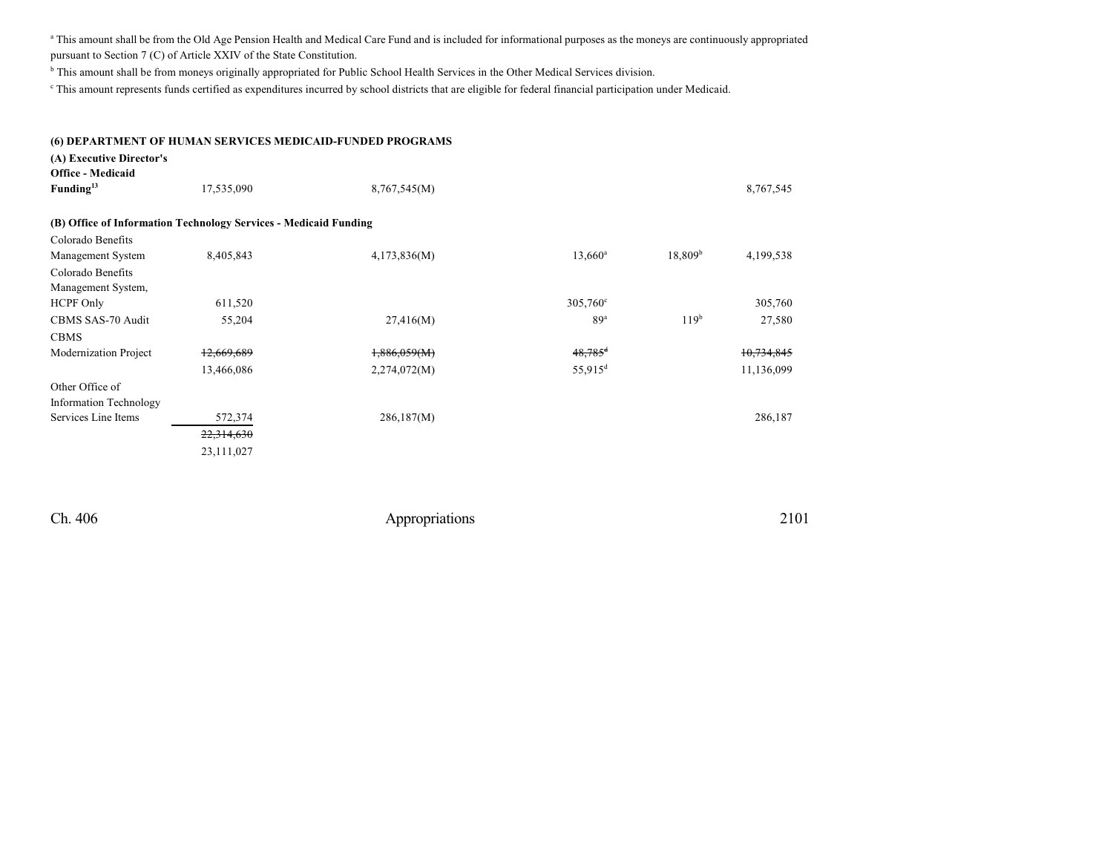<sup>a</sup> This amount shall be from the Old Age Pension Health and Medical Care Fund and is included for informational purposes as the moneys are continuously appropriated pursuant to Section 7 (C) of Article XXIV of the State Constitution.

<sup>b</sup> This amount shall be from moneys originally appropriated for Public School Health Services in the Other Medical Services division.

c This amount represents funds certified as expenditures incurred by school districts that are eligible for federal financial participation under Medicaid.

#### **(6) DEPARTMENT OF HUMAN SERVICES MEDICAID-FUNDED PROGRAMS**

### **(A) Executive Director's**

| <b>Office - Medicaid</b> |                                                                  |              |                       |                     |            |
|--------------------------|------------------------------------------------------------------|--------------|-----------------------|---------------------|------------|
| Funding <sup>13</sup>    | 17,535,090                                                       | 8,767,545(M) |                       |                     | 8,767,545  |
|                          |                                                                  |              |                       |                     |            |
|                          | (B) Office of Information Technology Services - Medicaid Funding |              |                       |                     |            |
| Colorado Benefits        |                                                                  |              |                       |                     |            |
| Management System        | 8,405,843                                                        | 4,173,836(M) | $13,660^a$            | 18,809 <sup>b</sup> | 4,199,538  |
| Colorado Benefits        |                                                                  |              |                       |                     |            |
| Management System,       |                                                                  |              |                       |                     |            |
| <b>HCPF Only</b>         | 611,520                                                          |              | 305,760°              |                     | 305,760    |
| CBMS SAS-70 Audit        | 55,204                                                           | 27,416(M)    | 89 <sup>a</sup>       | 119 <sup>b</sup>    | 27,580     |
| <b>CBMS</b>              |                                                                  |              |                       |                     |            |
| Modernization Project    | 12,669,689                                                       | 1,886,059(M) | $48,785$ <sup>d</sup> |                     | 10,734,845 |
|                          | 13,466,086                                                       | 2,274,072(M) | $55,915$ <sup>d</sup> |                     | 11,136,099 |
| Other Office of          |                                                                  |              |                       |                     |            |
| Information Technology   |                                                                  |              |                       |                     |            |
| Services Line Items      | 572,374                                                          | 286,187(M)   |                       |                     | 286,187    |
|                          | 22,314,630                                                       |              |                       |                     |            |
|                          | 23,111,027                                                       |              |                       |                     |            |
|                          |                                                                  |              |                       |                     |            |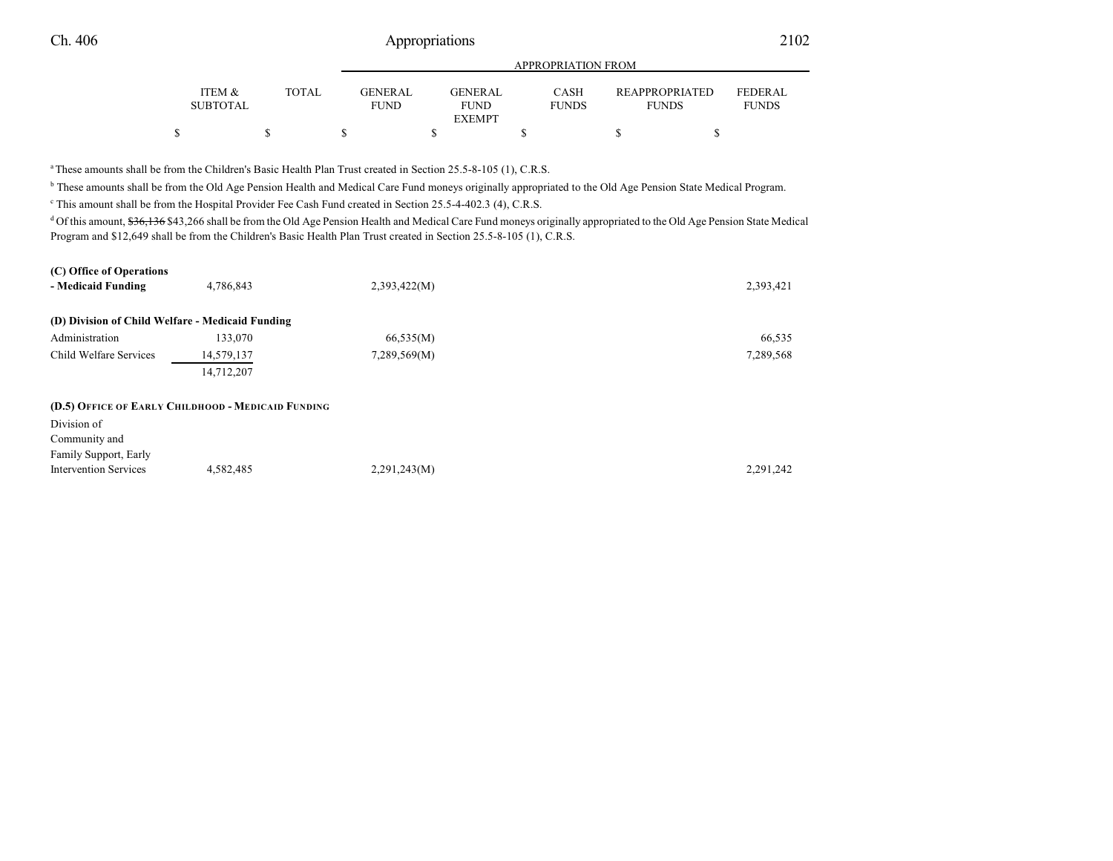|                           |              |                               | APPROPRIATION FROM     |                             |                                       |                                |  |  |  |  |  |
|---------------------------|--------------|-------------------------------|------------------------|-----------------------------|---------------------------------------|--------------------------------|--|--|--|--|--|
| ITEM &<br><b>SUBTOTAL</b> | <b>TOTAL</b> | <b>GENERAL</b><br><b>FUND</b> | GENERAL<br><b>FUND</b> | <b>CASH</b><br><b>FUNDS</b> | <b>REAPPROPRIATED</b><br><b>FUNDS</b> | <b>FEDERAL</b><br><b>FUNDS</b> |  |  |  |  |  |
|                           |              |                               | <b>EXEMPT</b>          |                             |                                       |                                |  |  |  |  |  |
|                           |              |                               |                        |                             |                                       |                                |  |  |  |  |  |

<sup>a</sup>These amounts shall be from the Children's Basic Health Plan Trust created in Section 25.5-8-105 (1), C.R.S.

<sup>b</sup> These amounts shall be from the Old Age Pension Health and Medical Care Fund moneys originally appropriated to the Old Age Pension State Medical Program.

This amount shall be from the Hospital Provider Fee Cash Fund created in Section 25.5-4-402.3 (4), C.R.S.

<sup>d</sup> Of this amount, \$36,136 \$43,266 shall be from the Old Age Pension Health and Medical Care Fund moneys originally appropriated to the Old Age Pension State Medical Program and \$12,649 shall be from the Children's Basic Health Plan Trust created in Section 25.5-8-105 (1), C.R.S.

| (C) Office of Operations<br>- Medicaid Funding                                                              | 4,786,843  | 2,393,422(M) | 2,393,421 |
|-------------------------------------------------------------------------------------------------------------|------------|--------------|-----------|
| (D) Division of Child Welfare - Medicaid Funding                                                            |            |              |           |
| Administration                                                                                              | 133,070    | 66,535(M)    | 66,535    |
| Child Welfare Services                                                                                      | 14,579,137 | 7,289,569(M) | 7,289,568 |
|                                                                                                             | 14,712,207 |              |           |
| (D.5) OFFICE OF EARLY CHILDHOOD - MEDICAID FUNDING<br>Division of<br>Community and<br>Family Support, Early |            |              |           |
| <b>Intervention Services</b>                                                                                | 4,582,485  | 2,291,243(M) | 2,291,242 |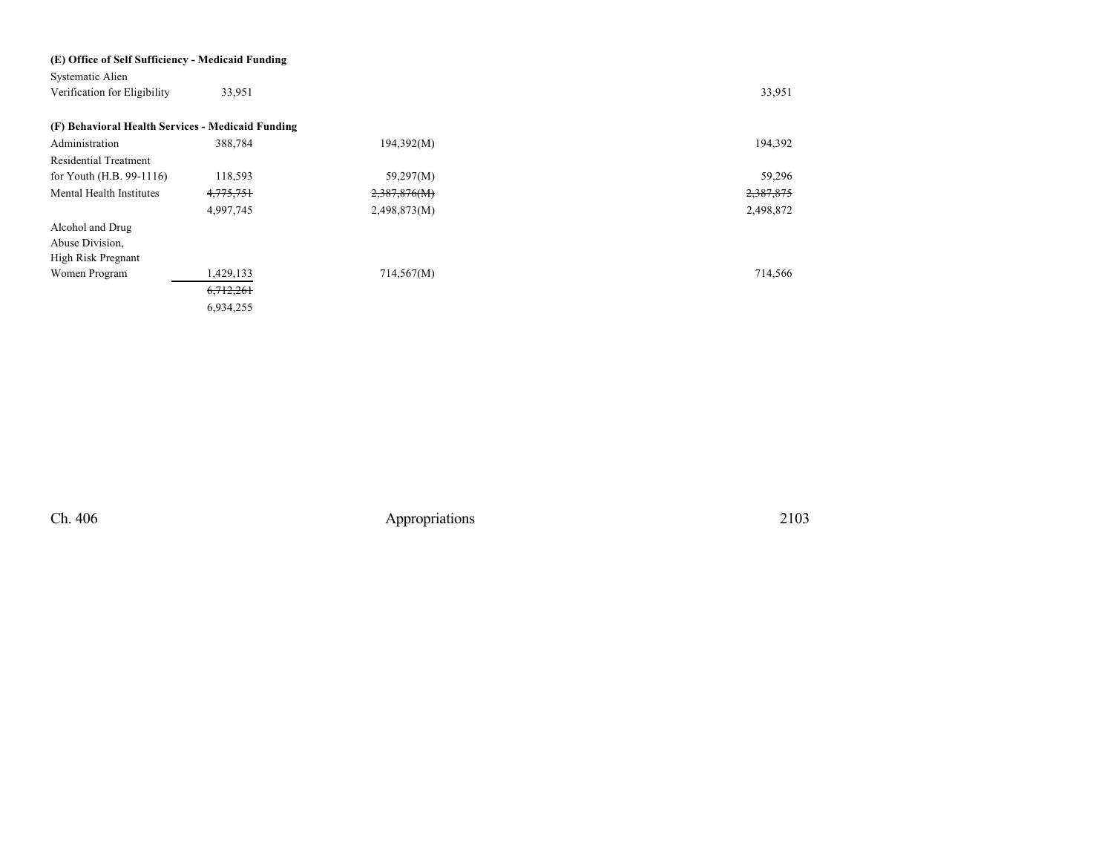| (E) Office of Self Sufficiency - Medicaid Funding |             |              |           |
|---------------------------------------------------|-------------|--------------|-----------|
| Systematic Alien                                  |             |              |           |
| Verification for Eligibility                      | 33,951      |              | 33,951    |
| (F) Behavioral Health Services - Medicaid Funding |             |              |           |
| Administration                                    | 388,784     | 194,392(M)   | 194,392   |
| <b>Residential Treatment</b>                      |             |              |           |
| for Youth (H.B. 99-1116)                          | 118,593     | 59,297(M)    | 59,296    |
| Mental Health Institutes                          | 4,775,751   | 2,387,876(M) | 2,387,875 |
|                                                   | 4,997,745   | 2,498,873(M) | 2,498,872 |
| Alcohol and Drug                                  |             |              |           |
| Abuse Division,                                   |             |              |           |
| High Risk Pregnant                                |             |              |           |
| Women Program                                     | 1,429,133   | 714,567(M)   | 714,566   |
|                                                   | 6, 712, 261 |              |           |
|                                                   | 6,934,255   |              |           |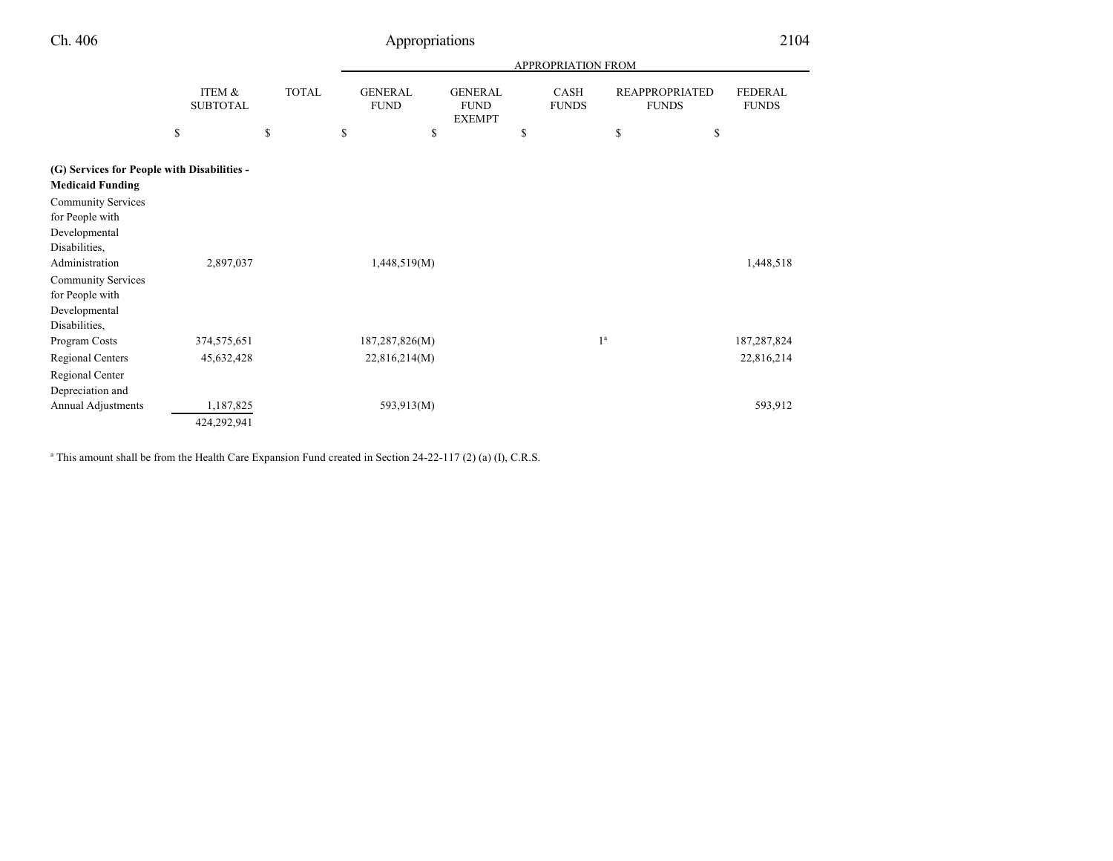|                                                                        |                                 |                    |                                           |                                                | <b>APPROPRIATION FROM</b>  |                |                                             |                                |
|------------------------------------------------------------------------|---------------------------------|--------------------|-------------------------------------------|------------------------------------------------|----------------------------|----------------|---------------------------------------------|--------------------------------|
|                                                                        | ITEM &<br><b>SUBTOTAL</b><br>\$ | <b>TOTAL</b><br>\$ | <b>GENERAL</b><br><b>FUND</b><br>\$<br>\$ | <b>GENERAL</b><br><b>FUND</b><br><b>EXEMPT</b> | CASH<br><b>FUNDS</b><br>\$ | \$             | <b>REAPPROPRIATED</b><br><b>FUNDS</b><br>\$ | <b>FEDERAL</b><br><b>FUNDS</b> |
|                                                                        |                                 |                    |                                           |                                                |                            |                |                                             |                                |
| (G) Services for People with Disabilities -<br><b>Medicaid Funding</b> |                                 |                    |                                           |                                                |                            |                |                                             |                                |
| <b>Community Services</b>                                              |                                 |                    |                                           |                                                |                            |                |                                             |                                |
| for People with                                                        |                                 |                    |                                           |                                                |                            |                |                                             |                                |
| Developmental                                                          |                                 |                    |                                           |                                                |                            |                |                                             |                                |
| Disabilities,                                                          |                                 |                    |                                           |                                                |                            |                |                                             |                                |
| Administration                                                         | 2,897,037                       |                    | 1,448,519(M)                              |                                                |                            |                |                                             | 1,448,518                      |
| <b>Community Services</b>                                              |                                 |                    |                                           |                                                |                            |                |                                             |                                |
| for People with                                                        |                                 |                    |                                           |                                                |                            |                |                                             |                                |
| Developmental                                                          |                                 |                    |                                           |                                                |                            |                |                                             |                                |
| Disabilities,                                                          |                                 |                    |                                           |                                                |                            |                |                                             |                                |
| Program Costs                                                          | 374,575,651                     |                    | 187,287,826(M)                            |                                                |                            | 1 <sup>a</sup> |                                             | 187,287,824                    |
| Regional Centers                                                       | 45,632,428                      |                    | 22,816,214(M)                             |                                                |                            |                |                                             | 22,816,214                     |
| Regional Center                                                        |                                 |                    |                                           |                                                |                            |                |                                             |                                |
| Depreciation and                                                       |                                 |                    |                                           |                                                |                            |                |                                             |                                |
| Annual Adjustments                                                     | 1,187,825                       |                    | 593,913(M)                                |                                                |                            |                |                                             | 593,912                        |
|                                                                        | 424,292,941                     |                    |                                           |                                                |                            |                |                                             |                                |

a This amount shall be from the Health Care Expansion Fund created in Section 24-22-117 (2) (a) (I), C.R.S.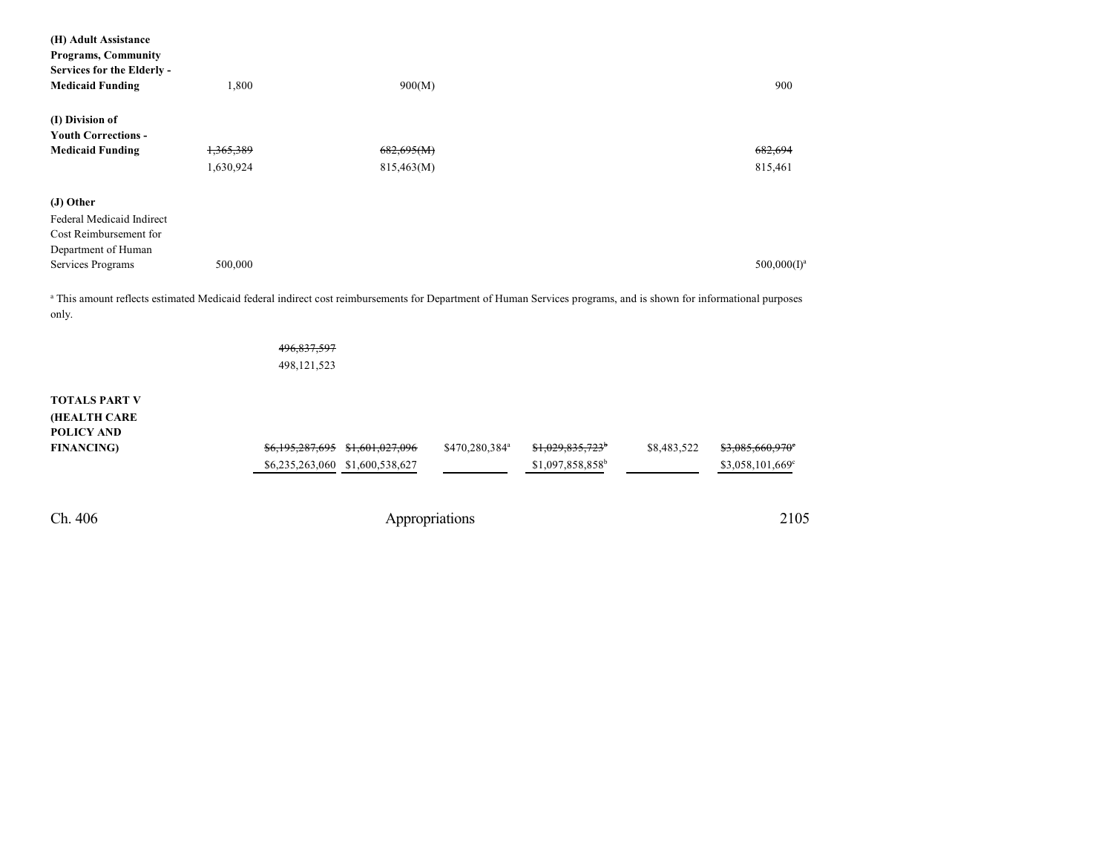| (H) Adult Assistance                                                                                                                                                       |           |                 |                                 |                            |                              |             |                  |
|----------------------------------------------------------------------------------------------------------------------------------------------------------------------------|-----------|-----------------|---------------------------------|----------------------------|------------------------------|-------------|------------------|
| <b>Programs, Community</b>                                                                                                                                                 |           |                 |                                 |                            |                              |             |                  |
| Services for the Elderly -                                                                                                                                                 |           |                 |                                 |                            |                              |             |                  |
| <b>Medicaid Funding</b>                                                                                                                                                    | 1,800     |                 | 900(M)                          |                            |                              |             | 900              |
|                                                                                                                                                                            |           |                 |                                 |                            |                              |             |                  |
| (I) Division of                                                                                                                                                            |           |                 |                                 |                            |                              |             |                  |
| <b>Youth Corrections -</b>                                                                                                                                                 |           |                 |                                 |                            |                              |             |                  |
| <b>Medicaid Funding</b>                                                                                                                                                    | 1,365,389 |                 | 682,695(M)                      |                            |                              |             | 682.694          |
|                                                                                                                                                                            | 1,630,924 |                 | 815,463(M)                      |                            |                              |             | 815,461          |
| (J) Other                                                                                                                                                                  |           |                 |                                 |                            |                              |             |                  |
| Federal Medicaid Indirect                                                                                                                                                  |           |                 |                                 |                            |                              |             |                  |
| Cost Reimbursement for                                                                                                                                                     |           |                 |                                 |                            |                              |             |                  |
| Department of Human                                                                                                                                                        |           |                 |                                 |                            |                              |             |                  |
| Services Programs                                                                                                                                                          | 500,000   |                 |                                 |                            |                              |             | $500,000(I)^a$   |
| a This amount reflects estimated Medicaid federal indirect cost reimbursements for Department of Human Services programs, and is shown for informational purposes<br>only. |           |                 |                                 |                            |                              |             |                  |
|                                                                                                                                                                            |           | 496,837,597     |                                 |                            |                              |             |                  |
|                                                                                                                                                                            |           | 498,121,523     |                                 |                            |                              |             |                  |
| <b>TOTALS PART V</b>                                                                                                                                                       |           |                 |                                 |                            |                              |             |                  |
| <b>(HEALTH CARE</b>                                                                                                                                                        |           |                 |                                 |                            |                              |             |                  |
| <b>POLICY AND</b>                                                                                                                                                          |           |                 |                                 |                            |                              |             |                  |
| <b>FINANCING</b> )                                                                                                                                                         |           | \$6,195,287,695 | \$1,601,027,096                 | \$470,280,384 <sup>a</sup> |                              | \$8,483,522 | \$3,085,660,970  |
|                                                                                                                                                                            |           |                 | \$6,235,263,060 \$1,600,538,627 |                            | \$1,097,858,858 <sup>b</sup> |             | \$3,058,101,669° |
|                                                                                                                                                                            |           |                 |                                 |                            |                              |             |                  |
|                                                                                                                                                                            |           |                 |                                 |                            |                              |             |                  |
|                                                                                                                                                                            |           |                 |                                 |                            |                              |             |                  |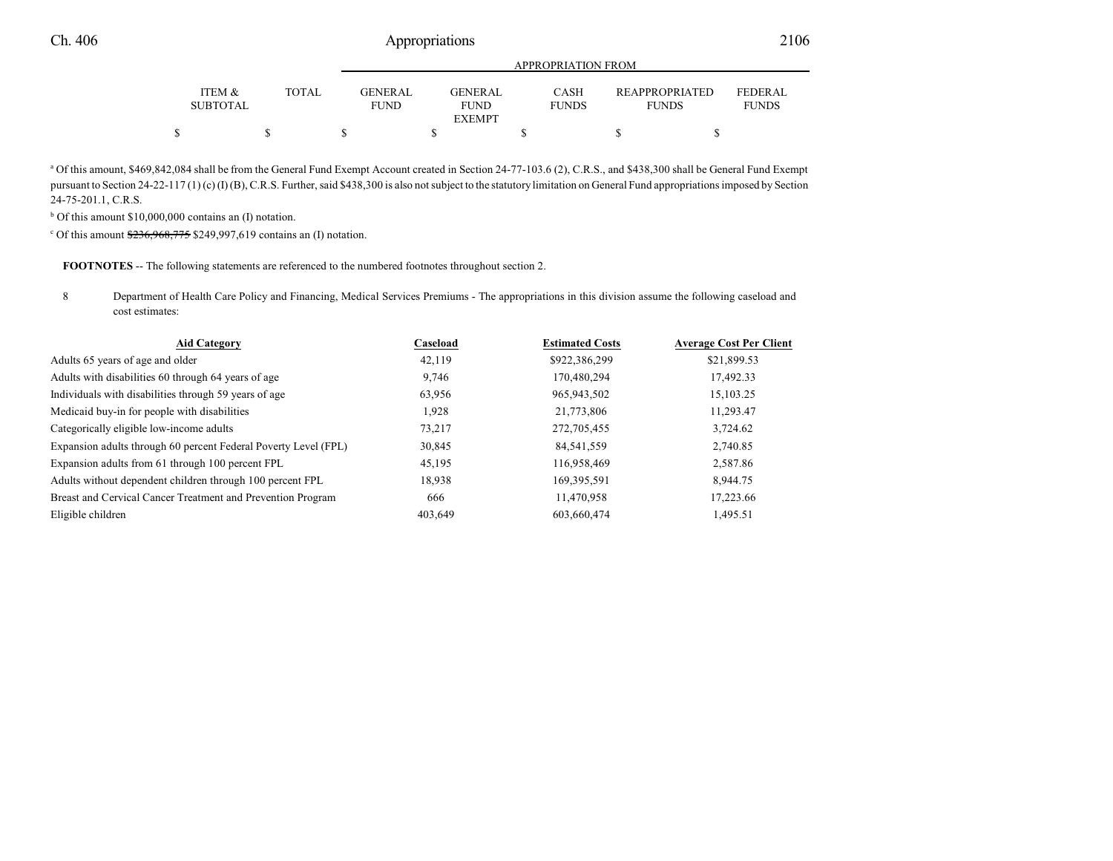|                           |              |                        | APPROPRIATION FROM     |                             |                                       |                                |  |  |  |  |  |
|---------------------------|--------------|------------------------|------------------------|-----------------------------|---------------------------------------|--------------------------------|--|--|--|--|--|
| ITEM &<br><b>SUBTOTAL</b> | <b>TOTAL</b> | GENERAL<br><b>FUND</b> | GENERAL<br><b>FUND</b> | <b>CASH</b><br><b>FUNDS</b> | <b>REAPPROPRIATED</b><br><b>FUNDS</b> | <b>FEDERAL</b><br><b>FUNDS</b> |  |  |  |  |  |
|                           |              |                        | EXEMPT                 |                             |                                       |                                |  |  |  |  |  |
|                           |              |                        |                        |                             |                                       |                                |  |  |  |  |  |

a Of this amount, \$469,842,084 shall be from the General Fund Exempt Account created in Section 24-77-103.6 (2), C.R.S., and \$438,300 shall be General Fund Exempt pursuant to Section 24-22-117 (1) (c) (I) (B), C.R.S. Further, said \$438,300 is also not subject to the statutory limitation on General Fund appropriations imposed by Section 24-75-201.1, C.R.S.

<sup>b</sup> Of this amount \$10,000,000 contains an (I) notation.

 $c$  Of this amount  $\frac{236,968,775}{2}$  \$249,997,619 contains an (I) notation.

**FOOTNOTES** -- The following statements are referenced to the numbered footnotes throughout section 2.

8 Department of Health Care Policy and Financing, Medical Services Premiums - The appropriations in this division assume the following caseload and cost estimates:

| <b>Aid Category</b>                                             | Caseload | <b>Estimated Costs</b> | <b>Average Cost Per Client</b> |
|-----------------------------------------------------------------|----------|------------------------|--------------------------------|
| Adults 65 years of age and older                                | 42,119   | \$922,386,299          | \$21,899.53                    |
| Adults with disabilities 60 through 64 years of age             | 9,746    | 170,480,294            | 17,492.33                      |
| Individuals with disabilities through 59 years of age           | 63,956   | 965,943,502            | 15,103.25                      |
| Medicaid buy-in for people with disabilities                    | 1,928    | 21,773,806             | 11,293.47                      |
| Categorically eligible low-income adults                        | 73,217   | 272,705,455            | 3,724.62                       |
| Expansion adults through 60 percent Federal Poverty Level (FPL) | 30,845   | 84,541,559             | 2,740.85                       |
| Expansion adults from 61 through 100 percent FPL                | 45,195   | 116,958,469            | 2,587.86                       |
| Adults without dependent children through 100 percent FPL       | 18,938   | 169,395,591            | 8,944.75                       |
| Breast and Cervical Cancer Treatment and Prevention Program     | 666      | 11.470.958             | 17,223.66                      |
| Eligible children                                               | 403,649  | 603.660.474            | 1,495.51                       |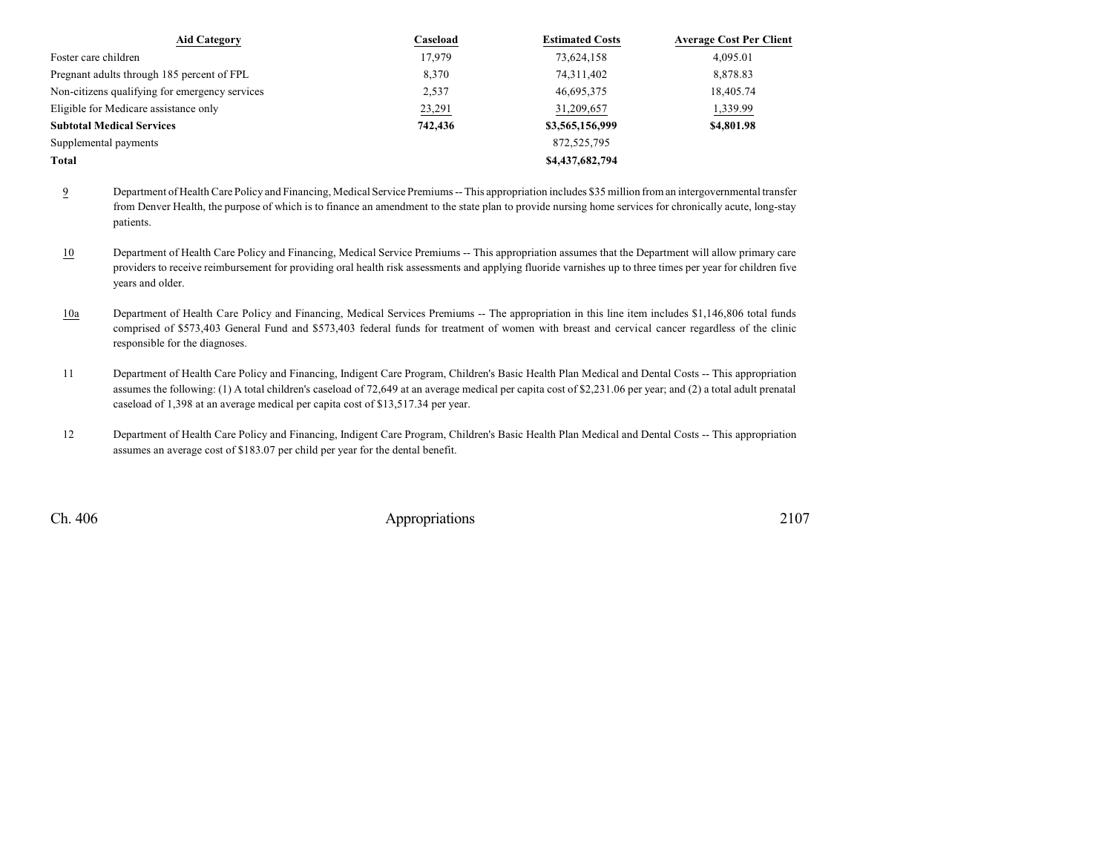| <b>Aid Category</b>                            | Caseload | <b>Estimated Costs</b> | <b>Average Cost Per Client</b> |
|------------------------------------------------|----------|------------------------|--------------------------------|
| Foster care children                           | 17.979   | 73,624,158             | 4.095.01                       |
| Pregnant adults through 185 percent of FPL     | 8,370    | 74,311,402             | 8,878.83                       |
| Non-citizens qualifying for emergency services | 2,537    | 46,695,375             | 18,405.74                      |
| Eligible for Medicare assistance only          | 23,291   | 31,209,657             | 1,339.99                       |
| <b>Subtotal Medical Services</b>               | 742,436  | \$3,565,156,999        | \$4,801.98                     |
| Supplemental payments                          |          | 872,525,795            |                                |
| Total                                          |          | \$4,437,682,794        |                                |

9 Department of Health Care Policy and Financing, Medical Service Premiums -- This appropriation includes \$35 million from an intergovernmental transfer from Denver Health, the purpose of which is to finance an amendment to the state plan to provide nursing home services for chronically acute, long-stay patients.

- 10 Department of Health Care Policy and Financing, Medical Service Premiums -- This appropriation assumes that the Department will allow primary care providers to receive reimbursement for providing oral health risk assessments and applying fluoride varnishes up to three times per year for children five years and older.
- 10a Department of Health Care Policy and Financing, Medical Services Premiums -- The appropriation in this line item includes \$1,146,806 total funds comprised of \$573,403 General Fund and \$573,403 federal funds for treatment of women with breast and cervical cancer regardless of the clinic responsible for the diagnoses.
- 11 Department of Health Care Policy and Financing, Indigent Care Program, Children's Basic Health Plan Medical and Dental Costs -- This appropriation assumes the following: (1) A total children's caseload of 72,649 at an average medical per capita cost of \$2,231.06 per year; and (2) a total adult prenatal caseload of 1,398 at an average medical per capita cost of \$13,517.34 per year.
- 12 Department of Health Care Policy and Financing, Indigent Care Program, Children's Basic Health Plan Medical and Dental Costs -- This appropriation assumes an average cost of \$183.07 per child per year for the dental benefit.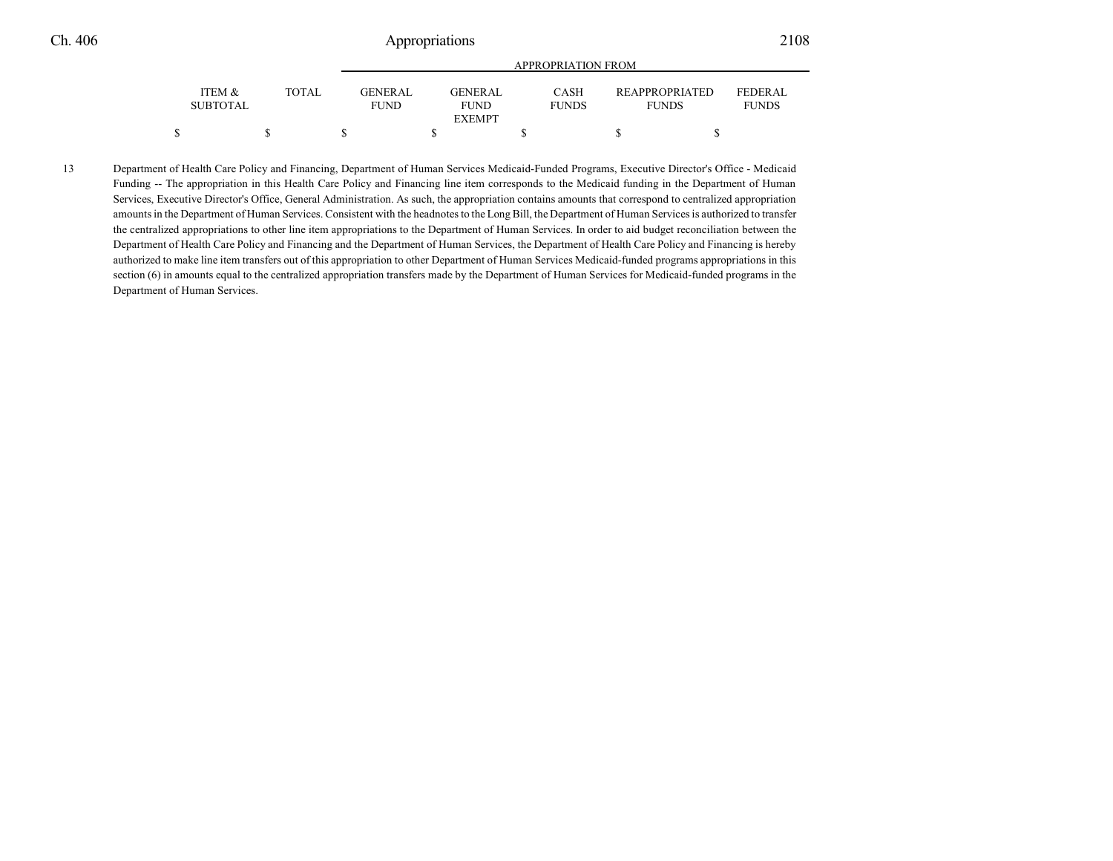|                           |       | <b>APPROPRIATION FROM</b>     |                               |                             |                                       |                         |  |  |  |  |
|---------------------------|-------|-------------------------------|-------------------------------|-----------------------------|---------------------------------------|-------------------------|--|--|--|--|
| ITEM &<br><b>SUBTOTAL</b> | TOTAL | <b>GENERAL</b><br><b>FUND</b> | <b>GENERAL</b><br><b>FUND</b> | <b>CASH</b><br><b>FUNDS</b> | <b>REAPPROPRIATED</b><br><b>FUNDS</b> | FEDERAL<br><b>FUNDS</b> |  |  |  |  |
|                           |       |                               | <b>EXEMPT</b>                 |                             |                                       |                         |  |  |  |  |
|                           |       |                               |                               |                             |                                       |                         |  |  |  |  |

13 Department of Health Care Policy and Financing, Department of Human Services Medicaid-Funded Programs, Executive Director's Office - Medicaid Funding -- The appropriation in this Health Care Policy and Financing line item corresponds to the Medicaid funding in the Department of Human Services, Executive Director's Office, General Administration. As such, the appropriation contains amounts that correspond to centralized appropriation amounts in the Department of Human Services. Consistent with the headnotes to the Long Bill, the Department of Human Services is authorized to transfer the centralized appropriations to other line item appropriations to the Department of Human Services. In order to aid budget reconciliation between the Department of Health Care Policy and Financing and the Department of Human Services, the Department of Health Care Policy and Financing is hereby authorized to make line item transfers out of this appropriation to other Department of Human Services Medicaid-funded programs appropriations in this section (6) in amounts equal to the centralized appropriation transfers made by the Department of Human Services for Medicaid-funded programs in the Department of Human Services.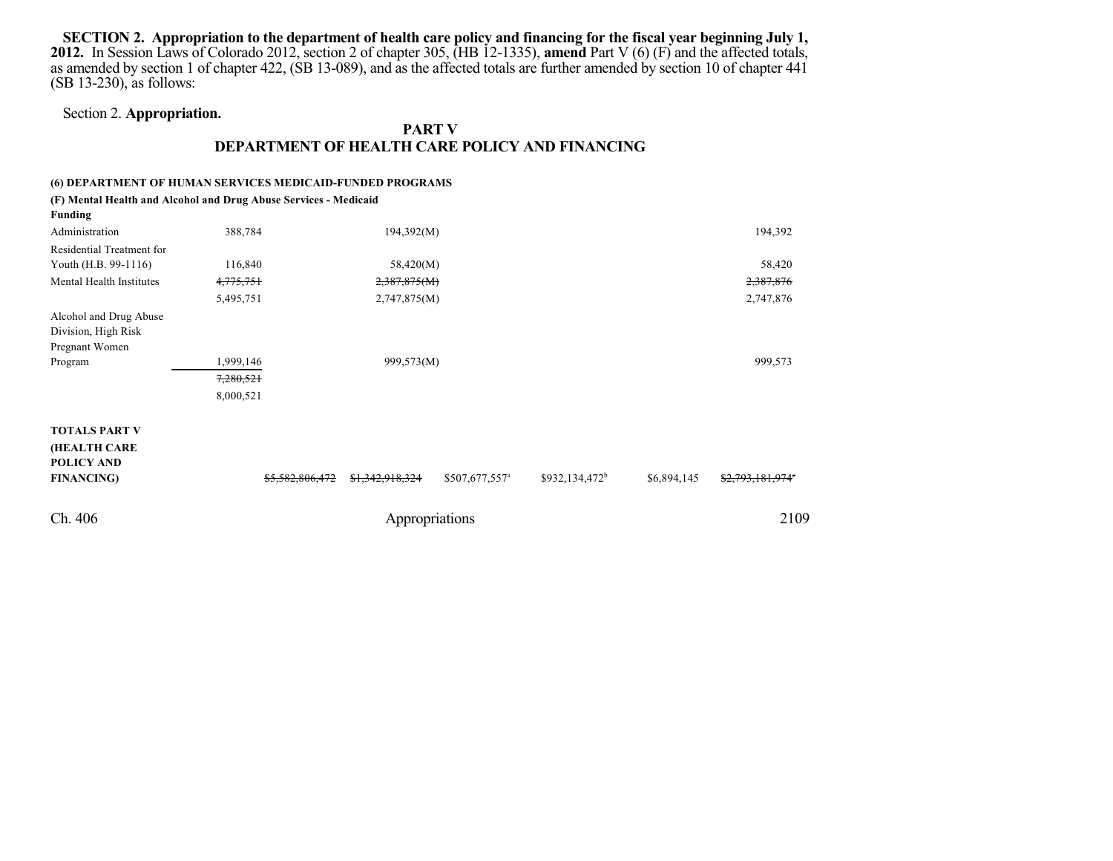SECTION 2. Appropriation to the department of health care policy and financing for the fiscal year beginning July 1, **2012.** In Session Laws of Colorado 2012, section 2 of chapter 305, (HB 12-1335), **amend** Part V (6) (F) and the affected totals, as amended by section 1 of chapter 422, (SB 13-089), and as the affected totals are further amended by section 10 of chapter 441 (SB 13-230), as follows:

### Section 2. **Appropriation.**

### **PART V DEPARTMENT OF HEALTH CARE POLICY AND FINANCING**

### **(6) DEPARTMENT OF HUMAN SERVICES MEDICAID-FUNDED PROGRAMS**

**(F) Mental Health and Alcohol and Drug Abuse Services - Medicaid**

| <b>Funding</b>            |                 |                 |                            |                  |             |                  |  |
|---------------------------|-----------------|-----------------|----------------------------|------------------|-------------|------------------|--|
| Administration            | 388,784         | 194,392(M)      |                            |                  |             | 194,392          |  |
| Residential Treatment for |                 |                 |                            |                  |             |                  |  |
| Youth (H.B. 99-1116)      | 116,840         | 58,420(M)       |                            |                  |             | 58,420           |  |
| Mental Health Institutes  | 4,775,751       | 2,387,875(M)    |                            |                  |             | 2,387,876        |  |
|                           | 5,495,751       | 2,747,875(M)    |                            |                  |             | 2,747,876        |  |
| Alcohol and Drug Abuse    |                 |                 |                            |                  |             |                  |  |
| Division, High Risk       |                 |                 |                            |                  |             |                  |  |
| Pregnant Women            |                 |                 |                            |                  |             |                  |  |
| Program                   | 1,999,146       | 999,573(M)      |                            |                  |             | 999,573          |  |
|                           | 7,280,521       |                 |                            |                  |             |                  |  |
|                           | 8,000,521       |                 |                            |                  |             |                  |  |
|                           |                 |                 |                            |                  |             |                  |  |
| <b>TOTALS PART V</b>      |                 |                 |                            |                  |             |                  |  |
| (HEALTH CARE              |                 |                 |                            |                  |             |                  |  |
| <b>POLICY AND</b>         |                 |                 |                            |                  |             |                  |  |
| <b>FINANCING)</b>         | \$5,582,806,472 | \$1,342,918,324 | \$507,677,557 <sup>a</sup> | $$932,134,472^b$ | \$6,894,145 | \$2,793,181,974° |  |
| Ch. 406                   |                 | Appropriations  |                            |                  |             | 2109             |  |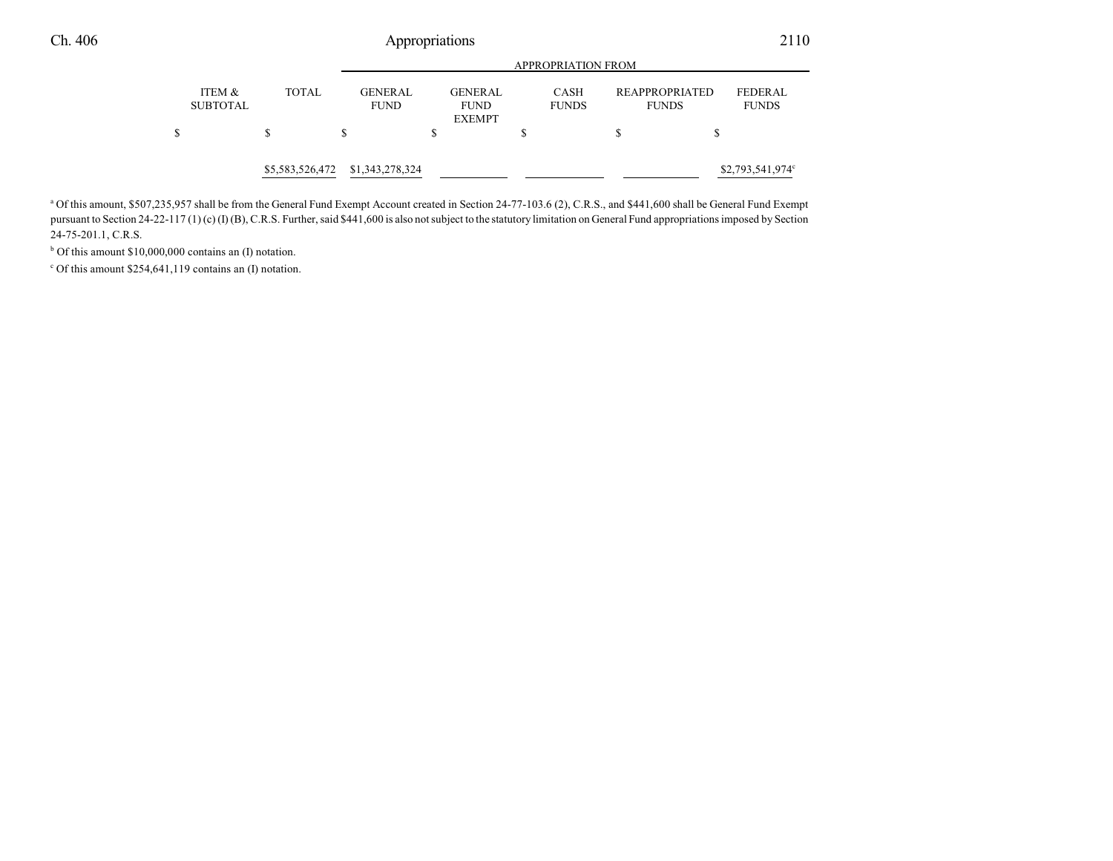|                           |                 |                               | APPROPRIATION FROM |                               |  |                             |                                       |  |                         |  |
|---------------------------|-----------------|-------------------------------|--------------------|-------------------------------|--|-----------------------------|---------------------------------------|--|-------------------------|--|
| ITEM &<br><b>SUBTOTAL</b> | <b>TOTAL</b>    | <b>GENERAL</b><br><b>FUND</b> |                    | <b>GENERAL</b><br><b>FUND</b> |  | <b>CASH</b><br><b>FUNDS</b> | <b>REAPPROPRIATED</b><br><b>FUNDS</b> |  | FEDERAL<br><b>FUNDS</b> |  |
| \$                        | S               | S                             | S                  | <b>EXEMPT</b>                 |  |                             |                                       |  |                         |  |
|                           | \$5,583,526,472 | \$1,343,278,324               |                    |                               |  |                             |                                       |  | \$2,793,541,974°        |  |

<sup>a</sup> Of this amount, \$507,235,957 shall be from the General Fund Exempt Account created in Section 24-77-103.6 (2), C.R.S., and \$441,600 shall be General Fund Exempt pursuant to Section 24-22-117 (1) (c) (I) (B), C.R.S. Further, said \$441,600 is also not subject to the statutory limitation on General Fund appropriations imposed by Section 24-75-201.1, C.R.S.

<sup>b</sup> Of this amount \$10,000,000 contains an (I) notation.

c Of this amount \$254,641,119 contains an (I) notation.